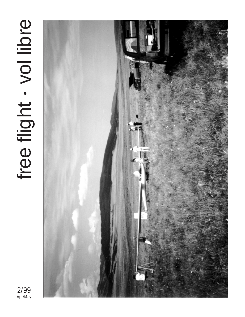# free flight . vol libre free flight vol libre



2/99 Apr/May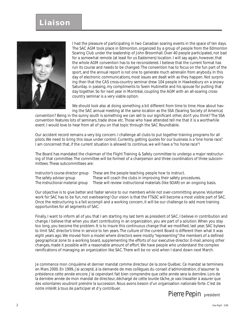# **Liaison**



I had the pleasure of participating in two Canadian soaring events in the space of ten days. The SAC AGM took place in Edmonton, organized by a group of people from the Edmonton Soaring Club under the leadership of John Broomhall. Over 40 people participated, not bad for a somewhat remote (at least for us Easterners) location. I will say again, however, that the whole AGM convention has to be reconsidered. I believe that the current format has run its course and needs to be changed. The convention has to focus on the fun part of the sport, and the annual report is not one to generate much adrenalin from anybody. In this day of electronic communications, most issues are dealt with as they happen. Not surprising then that the CAS cross-country seminar drew 104 people in Hawkesbury on a snowy Saturday. In passing, my compliments to Svein Hubinette and his spouse for putting that day together. So for next year in Montréal, coupling the AGM with an all-soaring crosscountry seminar is a very viable option.

We should look also at doing something a bit different from time to time. How about having the SAC annual meeting at the same location as the SSA (Soaring Society of America)

convention? Being in the sunny south is something we can sell to our significant other, don't you think? The SSA convention features lots of seminars, trade show etc. Those who have attended tell me that it is a worthwhile event. I would love to hear from all of you on that topic through the SAC Roundtable.

Our accident record remains a very big concern. I challenge all clubs to put together training programs for all pilots. We need to bring this issue under control. Currently, getting quotes for our business is a "one horse race". I am concerned that, if the current situation is allowed to continue, we will have a "no horse race"!

The Board has mandated the chairman of the Flight Training & Safety committee to undergo a major restructuring of that committee. The committee will be formed of a chairperson and three coordinators of three subcommittees. These subcommittees are:

| Instructor's course director group | These are the people teaching people how to instruct.                      |
|------------------------------------|----------------------------------------------------------------------------|
| The safety advisor group           | These will coach the clubs in improving their safety procedures.           |
| The instructional material group   | These will review instructional materials (like SOAR) on an ongoing basis. |

Our objective is to give better and faster service to our members while not over-committing anyone. Volunteer work for SAC has to be fun, not overbearing! Our vision is that the FT&SC will become a most visible part of SAC. Once the restructuring is a *fait accompli* and a working concern, it will be our challenge to add more training opportunities for all segments of SAC.

Finally, I want to inform all of you that I am starting my last term as president of SAC. I believe in contribution and change. I believe that when you start contributing in an organization, you are part of a solution. When you stay too long, you become the problem. It is to insure this continuous change that we modified, last year, SAC bylaws to limit SAC director's time in service to ten years. The culture of the current Board is different then what it was eight years ago. We moved from a model where directors were mostly "representing" the members of a defined geographical zone to a working board, supplementing the efforts of our executive director. E-mail, among other changes, made it possible with a reasonable amount of effort. We have people who understand the complex ramifications of managing an organization like SAC. There will be no void when I stand down next March.

Je commence mon cinquième et dernier mandat comme directeur de la zone Québec. Ce mandat se terminera en Mars 2000. En 1999, j'ai accepté, à la demande de mes collègues du conseil d'administration, d'assumer la présidence cette année encore. J'ai cependant fait bien comprendre que cette année sera la dernière. Lors de la dernière année de mon mandat de directeur, déchargé de cette lourde tâche, je vais travailler à assurer que des volontaires voudront prendre la succession. Nous avons besoin d'un organisation nationale forte. C'est de notre intérêt à tous de participer et d'y contribuer.

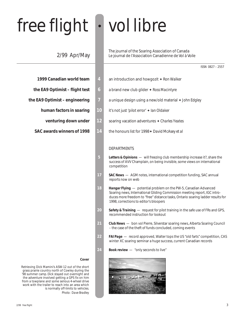# free flight • vol libre

# 2/99 Apr/May

|  | 1999 Canadian world team |  |
|--|--------------------------|--|
|--|--------------------------|--|

- 
- - -
	-

# **Cover**

Retrieving Dick Mamini's ASW-12 out of the short grass prairie country north of Cowley during the '98 summer camp. Dick stayed out overnight and the adventure involved getting a GPS fix on him from a towplane and some serious 4-wheel drive work with the trailer to reach into an area which is normally off-limits to vehicles. *Photo: Dave Bradley*

The journal of the Soaring Association of Canada Le journal de l'Association Canadienne de Vol à Voile

- **1999 4 an introduction and howgozit ♦ Ron Walker**
- **the EA9 Optimist flight test 6** a brand new club glider ♦ Ross Macintyre
- **the EA9 Optimist engineering 7** a unique design using a new/old material ✦ *John Edgley*
	- **human factors in soaring 10** it's not just 'pilot error' ✦ *Ian Oldaker*
		- **venturing down under 12** soaring vacation adventures ✦ *Charles Yeates*
	- **SAC awards winners of 1998 14** the honours list for 1998✦ *David McAsey et al*

# **DEPARTMENTS**

- **5** *Letters & Opinions*  will freezing club membership increase it?, share the success of AVV Champlain, on being invisible, some views on international competition
- 17 **SAC News** AGM notes, international competition funding, SAC annual reports now on web
- **18** *Hangar Flying*  potential problem on the PW-5, Canadian Advanced Soaring news, International Gliding Commission meeting report, IGC introduces more freedom to "free" distance tasks, Ontario soaring ladder results for 1998, corrections to editor's bloopers
- **20** *Safety & Training*  request for pilot training in the safe use of FRs and GPS, recommended instruction for lookout
- **21** *Club News*  bon vol Pierre, Silverstar soaring news, Alberta Soaring Council – the case of the theft of funds concluded, coming events
- **22** *FAI Page*  record approved, Walter tops the US "old farts" competition, CAS winter XC soaring seminar a huge success, current Canadian records
- 24 **Book review** "only seconds to live"

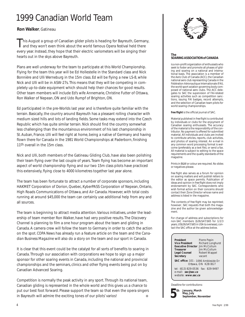# 1999 Canadian World Team

# **Ron Walker**, Gatineau

This August a group of Canadian glider pilots is heading for Bayreuth, Germany, and they won't even think about the world famous Opera festival held there every year. Instead, they hope that their electric variometers will be singing their hearts out in the skys above Bayreuth.

Plans are well underway for the team to participate at this World Championship. Flying for the team this year will be Ed Hollestelle in the Standard class and Nick Bonnière and Ulli Werneburg in the 15m class. Ed will be flying a new LS-8, while Nick and Ulli will be in ASW-27s. This means that they will be competing in completely up-to-date equipment which should help their chances for good results. Other team members will include Ed's wife Annemarie, Christine Futter of Ottawa, Ron Walker of Nepean, ON and Udo Rumpf of Brighton, ON.

Ed participated in the pre-Worlds last year and is therefore quite familiar with the terrain. Basically, the country around Bayreuth has a pleasant rolling character with medium sized hills and lots of landing fields. Some tasks may extend into the Czech Republic which has quite similar terrain. Nick should find the country somewhat less challenging than the mountainous environment of his last championship in St. Auban, France. Ulli will feel right at home, being a native of Germany and having flown there for Canada in the 1981 World Championships at Paderborn, finishing 11<sup>th</sup> overall in the 15m class.

Nick and Ulli, both members of the Gatineau Gliding Club, have also been polishing their team flying over the last couple of years. Team flying has become an important aspect of world championship flying and our two 15m class pilots have practiced this extensively, flying close to 4000 kilometres together last year alone.

The team has been fortunate to attract a number of corporate sponsors, including HAKMET Corporation of Dorion, Quebec, KyberPASS Corporation of Nepean, Ontario, High Roads Communications of Ottawa, and Air Canada. However, with total costs running at around \$45,000 the team can certainly use additional help from any and all sources.

The team is beginning to attract media attention. Various initiatives, under the leadership of team member Ron Walker, have had very positive results. The *Discovery Channel* is planning to film a one hour program about the team and gliding in Canada. A camera crew will follow the team to Germany in order to catch the action on the spot. *COPA News* has already run a feature article on the team and the *Canadian Business Magazine* will also do a story on the team and our sport in Canada.

It is clear that this event could be the catalyst for all sorts of benefits to soaring in Canada. Through our association with corporations we hope to sign up a major sponsor for other soaring events in Canada, including the national and provincial championships and the seminars, clinics and other flying events being put on by Canadian Advanced Soaring.

Competition is normally the peak activity in any sport. Through its national team, Canadian gliding is represented in the whole world and this gives us a chance to put our best foot forward. Please support the team so that even the opera singers in Bayreuth will admire the exciting tones of our pilots' varios! ❖



#### **The SOARING ASSOCIATION of CANADA**

is a non-profit organization of enthusiasts who seek to foster and promote all phases of gliding and soaring on a national and international basis. The association is a member of the Aero Club of Canada (ACC), the Canadian national aero club representing Canada in the Fédération Aéronautique Internationale (FAI), the world sport aviation governing body composed of national aero clubs. The ACC delegates to SAC the supervision of FAI-related soaring activities such as competition sanctions, issuing FAI badges, record attempts, and the selection of Canadian team pilots for world soaring championships.

#### *free flight* is the official journal of SAC.

Material published in *free flight* is contributed by individuals or clubs for the enjoyment of Canadian soaring enthusiasts. The accuracy of the material is the responsibility of the contributor. No payment is offered for submitted material. All individuals and clubs are invited to contribute articles, reports, club activities, and photos of soaring interest. An e-mail in any common word processing format is welcome (preferably as a text file), or send a fax. All material is subject to editing to the space requirements and the quality standards of the magazine.

Prints in B&W or colour are required. No slides or negatives please.

*free flight* also serves as a forum for opinion on soaring matters and will publish letters to the editor as space permits. Publication of ideas and opinion in *free flight* does not imply endorsement by SAC. Correspondents who wish formal action on their concerns should contact their Zone Director whose name and address is listed in the magazine.

The contents of *free flight* may be reprinted; however , SAC requests that both the magazine and the author be given acknowledgement.

For change of address and subscriptions for non-SAC members (\$26/\$47/\$65 for 1/2/3 years, US\$26/\$47/\$65 in USA & overseas), contact the SAC office at the address below.

**President** Pierre Pepin<br>**Vice President** Richard Lone **Executive Director** Jim McCollum **Treasurer** Jim McCollum<br> **Legal Counsel** Robert Wappe **Secretary** vacant

**Richard Longhurst Legal Counsel** Robert Wappel

**SAC office:** 101 – 1090 Ambleside Dr Ottawa, ON K2B 8G7

tel: (613) 829-0536 fax: 829-9497 e-mail: **sac@sac.ca** website: **www.sac.ca**

Deadline for contributions:



**January, March May, July September, November**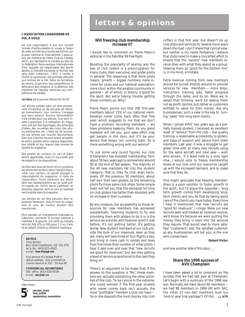#### **L'ASSOCIATION CANADIENNE DE VOL À VOILE**

est une organisation à but non lucratif formée d'enthousiastes et vouée à l'essor de cette activité sous toutes ses formes, sur le plan national et international. L'association est membre de l'Aéro Club du Canada (ACC), qui représente le Canada au sein de la Fédération Aéronautique Internationale (FAI), laquelle est responsable des sports aériens à l'échelle mondiale et formée des aéro-clubs nationaux. L'ACC a confié à l'ACVV la supervision des activités vélivoles aux normes de la FAI, telles les tentatives de record, la sanction des compétitions, la délivrance des insignes, et la sélection des membres de l'équipe nationale aux compétitions mondiales.

**vol libre** est le journal officiel de l'ACVV.

Les articles publiés dans *vol libre* proviennent d'individus ou de groupes de vélivoles bienveillants. Leur contenu n'engage que leurs auteurs. Aucune rémunération n'est versée pour ces articles. Tous sont invités à participer à la réalisation du magazine, soit par des reportages, des échanges d'idées, des nouvelles des clubs, des photos pertinentes, etc. L'idéal est de soumettre ces articles par courrier électronique, bien que d'autres moyens soient acceptés. Ils seront publiés selon l'espace disponible, leur intérêt et leur respect des normes de qualité du magazine.

Des photos en couleurs ou noir et blanc seront appréciées, mais s'il vous plaît, pas de négatifs ni de diapositives.

*vol libre* sert aussi de forum et on y publiera les lettres des lecteurs selon l'espace disponible. Leur contenu ne saurait engager la responsabilité du magazine, ni celle de l'association. Toute personne qui désire faire des représentations sur un sujet précis auprès de l'ACVV devra s'adresser au directeur régional, dont le nom et l'adresse sont publiés dans le magazine.

Les articles de *vol libre* peuvent être reproduits librement, mais le nom du magazine et celui de l'auteur doivent être mentionnés.

Pour signaler un changement d'adresse ou s'abonner, contacter le bureau national à l'adresse à la gauche. Les tarifs au Canada sont de 26\$, 47\$ ou 65\$ pour 1, 2 ou 3 ans et de 26\$US, 47\$US ou 65\$US à l'extérieur.

# **EDITOR**

Tony Burton Box 1916 Claresholm, AB T0L 0T0 tel & fax (403) 625-4563 e-mail **free-flt@agt.net**

Any service of Canada Post to above address. Any commercial courier service to 335 - 50 Ave W

#### **COMMERCIAL ADVERTISING**

SAC office (613) 829-0536 e-mail **sac@sac.ca**

#### Date limite:



**janvier, mars mai, juillet septembre, novembre**

# **letters & opinions**

# **Will freezing club membership increase it?**

I would like to comment on Pierre Pepin's editorial in the Feb/Mar 99 *free flight*.

Boosting the popularity of soaring and the size of club rosters is a preoccupation for many clubs, their executive, and glider pilots in general. The reasoning is that more pilots means growth — bigger numbers, more income for clubs and our national association, more clout within the aviation community in general — all of which, in theory, is good for the sport. But we're having trouble getting those numbers up. Why?

Pierre Pepin points out that 200 first-year members (about 15% of our national membership) never come back after that first year, which suggests to me that we don't have a problem recruiting members — we have problems keeping them. As any good marketer will tell you, your sales effort may get people in the door, but it'll be your *service* that keeps 'em coming back. So is there something wrong with our service?

To use some very round figures, our club (Champlain) has boosted membership from about 50 two years ago to somewhere around 90 at the end of last season. The majority of the 40 new members fall into the student category; that is, they fly club ships exclusively. Of the previous 50 members, about half own their own gliders, so the remaining pilots fly those same club ships. Some simple math will tell you that the demands for time on club gliders has better than doubled, with no increase in their numbers.

By any measure, the accessibility to those resources for new members has worsened substantially. Teaching students to fly and providing them with gliders to do it in is the service we provide, and however good it was before, it's not getting better, it's getting worse. New student members at our club provide the bulk of our revenues; keen as they are, many will take three or four flights a day, and bring in more cash in rentals and tows than five times their number of other pilots. I hear it said over and over that "new recruits are good for revenues", but are they getting a level of service proportional to the cash they bring in?

There's an argument to be made that, if the answer to this question is "No", these members are actually subsidizing the other activities of the club. To be cynical in the extreme, one could wonder if the first-year student who never comes back isn't actually the most "profitable" member a club can have he or she deposits the most money into club the comes back isn't actually the we had 98 members in 1998 (83 with SAC,<br>
mai, juillet members took our<br>
septembre, novembre<br> **S** mai, juillet most money into club and have the other 15 non-SAC members took our<br>
septembre

coffers in that first year, but doesn't tie up club ships and services for several more years down the road. I don't share that cynical view, but neither is my name Pollyanna. I believe that clubs need to make a concerted effort to ensure that the "service" new members receive jibes with what they spend as a group. Viewing them as "good for the bottom line" is, in my mind, a mistake.

Extra revenue coming from new members should be turned directly around to provide services for new members — more ships, instruction, training aids, faster progress through the ranks, and so on. Were we to adopt that thinking, we'd be seeing them not as profit centres, but rather as customers entitled to value for their money. Ask any businessman; such a view is the key to turning "sales" into long-term clients.

When I joined AVVC two years ago as a partially trained student, I received an excellent level of "service" from the club — top quality training, a reasonable accessibility to gliders, and bags of support and advice from older members. Last year, it was a struggle to get glider time with so many new recruits vying for the same aircraft, and next year — well, who knows... If it were held to a vote right now, I would vote to freeze membership levels at our club until our resources caught up with the increased demand, and to make sure that they do.

One might speculate that freezing memberships is a poor solution to foster growth in the sport, but I'd argue the opposite — long term growth comes from developing longterm clients, and you do that by taking good care of the clients you have today. Every time I hear it mentioned that new recruits are "good for revenues", I cringe. Were our new recruits seen and treated as revenue-neutral, we'd know it's because we were putting the money they bring in back into the services they require. That would lead to more satisfied "customers", and the *satisfied customer*, as any businessman will tell you, is the one who comes back.

#### **Robert Victor**

*and now another side of this story ...*

#### **Share the 1998 success of AVV Champlain**

**paramoral** end-of-year trial package"). Of this  $\Rightarrow$  **p16** I have been asked a lot to comment on the success that we had last year at Champlain. Let's begin with a summary of the 1998 season. Normally, we have about 60 members we had 98 members in 1998 (83 with SAC,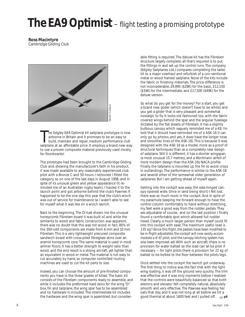# *The EA9 Optimist* – flight testing a promising prototype

**Ross Macintyre** Cambridge Gliding Club



The Edgley EA9 Optimist kit sailplane prototype is now airborne in Britain and it promises to be an easy to build, maintain and repair, medium performance club sailplane at an affordable price. It employs a brand new way he Edgley EA9 *Optimist* kit sailplane prototype is now airborne in Britain and it promises to be an easy to build, maintain and repair, medium performance club to use a proven composite material previously used mostly for floorboards!

The prototype had been brought to the Cambridge Gliding Club and, showing the manufacturer's faith in his product, it was made available to any reasonably experienced club pilot with a Bronze C and 50 hours. I reckoned I fitted the category, so on one of the last days in August 1998, and in spite of its unusual green and yellow appearance (it reminded me of an Australian rugby team), I hauled it to the launch point and got airborne behind the club's Pawnee. It happened to be the one day this year that the club's winch was out of service for maintenance so I wasn't able to see for myself what it was like on a winch launch.

Back to the beginning. The DI had shown me the unusual honeycomb Fibrelam board it was built of, and while the similarity to wood and fabric construction was apparent, there was no doubt that this was *not* wood. In fact, 80% of the 300-odd components are made from 6 mm and 10 mm Fibrelam. This is a very lightweight precured composite sandwich board with cross-plied fibreglass skins over an aramid honeycomb core. The same material is used in most airliner floors. It has a better strength to weight ratio than wood, and the end result is a strong aircraft, yet lighter than an equivalent in wood or metal. The material is not easy to cut accurately by hand, so computer controlled routing machines are used to cut the kit parts to size.

Indeed, you can choose the amount of pre-finished components you have in the three grades of kitset. The basic kit consists of the Fibrelam components ready to assemble, and while it includes the preformed hard skins for the wing "D" box, fin and tailplane, the wing spar has to be assembled and no hardware is included. The intermediate kit includes the hardware and the wing spar is assembled, but considerable fitting is required. The deluxe kit has the Fibrelam structure largely complete, all that's required is to put the fittings in and set up the control runs. The company (Edgley Sailplanes Ltd.) compares completing the latter kit to a major overhaul and refurbish of a con-ventional metal or wood framed sailplane. None of the kits include the fabric or finishing materials. The price difference is not inconsiderable, £9,995 (\$28K) for the basic, £12,150 (\$34K) for the intermediate, and £17,500 (\$49K) for the deluxe version.

So what do you get for the money? For a start, you get a brand new glider (which doesn't have to be white) and you get a glider that is very pleasant and somewhat nostalgic to fly. It looks old fashioned too, with the fabric covered wings behind the spar and the angular fuselage dictated by the flat sheets of Fibrelam. It has a slightly bulbous canopy which vaguely reminded me of a K8. I'm told that it should have reminded me of a ASK-18 (I can only go by photos, and yes, it does have the longer nose and smoother lines of the ASK-18). This is because it was designed with the ASK-18 as a model, more as a proof of structural techniques than as a completely new design of sailplane. Still it is different, it has a shorter wingspan, (a most unusual 15.7 metres), and a Wortmann airfoil of more modern design than the ASK-18s NACA profile. Finally, the tailplane is mounted up the fin to avoid crops in outlandings. The performance is similar to the ASK-18 and several other of the somewhat older generation of sailplanes. But I am getting ahead of myself again.

Getting into the cockpit was easy, the side-hinged canopy opened wide. Once in (and being short) I felt lost, there was so much room in the cockpit. And in spite of my parachute keeping me forward enough to have the control column comfortably to hand without stretching, my feet were a good way from the rudder pedals. They are adjustable of course, and on the last position I finally found a comfortable spot which allowed full rudder travel. Clearly, a much larger person than myself could fit into this cockpit with ease. The maximum useful load is 135 kg! *(Since this flight, the pedals have been modified to be in-flight adjustable, the cockpit will now easily accommodate a 6'-6" pilot, and the canopy latching system has also been improved. ed)* With such an aircraft, there is no provision for water ballast so the load can all be pilot if necessary — for light pilots there is provision for 22 kg of ballast to be bolted to the floor between the pilots legs.

Once settled into the cockpit the launch got underway. The first thing to notice was the fact that with the light wing loading, it was off the ground very quickly. The trim was effective and it was only moments before I realized that the controls were beautifully balanced so that both ailerons and elevator felt completely natural, absolutely smooth and very effective. The Pawnee was feeling her oats that day, and it was not long at all before we hit a good thermal at about 1600 feet and I pulled off. ➯ **p8**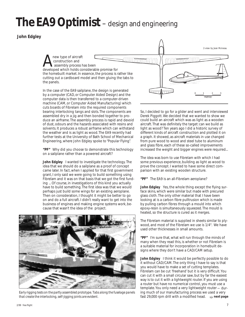# *The EA9 Optimist* – design and engineering

 **John Edgley**



machine (CAM, or Computer Aided Manufacturing) which cuts boards of Fibrelam into the required components bearing interlocking tangs and slots. The components are assembled dry in a jig and then bonded together to produce an airframe. The assembly process is rapid and devoid of dust, odours and the hazards associated with resins and solvents. It produces a robust airframe which can withstand the weather and is as light as wood. The EA9 recently had further tests at the University of Bath School of Mechanical Engineering, where John Edgley spoke to *"Popular Flying*".

**"PF"** Why did you choose to demonstrate this technology on a sailplane rather than a powered aircraft?

**John Edgley** I wanted to investigate the technology. The idea that we should do a sailplane as a proof of concept came later. In fact, when I applied for that first government grant, I only said we were going to build something using Fibrelam and it was on that basis that we got the first funding ... Of course, in investigations of this kind you actually have to build something. The first idea was that we would perhaps just build some wings for an existing aeroplane. Then on consideration, I thought it might be better to go on and do a full aircraft. I didn't really want to get into the business of engines and making engine systems work, because that wasn't the idea of the project.



*Early rigging tests on the partly assembled prototype. Tabs along the fuselage panels that create the interlocking, self-jigging joints are evident.*

So, I decided to go for a glider and went and interviewed Derek Piggott. We decided that we wanted to show we could build an aircraft which was as light as a wooden aircraft. That was definitely the target: can we build as light as wood? Ten years ago I did a historic survey of different kinds of aircraft construction and plotted it on a graph. It showed, as aircraft materials in use changed from pure wood to wood and steel tube to aluminum and glass fibre, each of these so-called improvements increased the weight and bigger engines were required...

The idea was born to use Fibrelam with which I had some previous experience, building as light as wood to prove the concept. I wanted to have some direct comparison with an existing wooden structure.

**"PF"** The EA9 is an all-Fibrelam aeroplane?

**John Edgley** Yes, the whole thing except the flying surface skins, which were similar but made with precured glass cloth. The only other material that I have been looking at is a carbon fibre pulltrusion which is made by pulling carbon fibres through a mould into which epoxy-resin is simultaneously squeezed. The mould is heated, so the structure is cured as it merges.

The Fibrelam material is supplied in sheets similar to plywood, and most of the Fibrelam we use is 1/4". We have used other thicknesses in small amounts.

**"PF"** I'm sure that, what will run through the minds of many when they read this, is whether or not Fibrelam is a suitable material for incorporation in homebuilt designs where they don't have a CAD/CAM setup.

**John Edgley** I think it would be perfectly possible to do it without CAD/CAM. The only thing I have to say is that you would have to make a set of cutting templates. Fibrelam *can* be cut 'freehand' but it is very difficult. You can cut it with a small circular saw, but by far the easiest way is to cut it with a lightweight router. If you are using a router but have no numerical control, you must use a template. You only need a very lightweight router — during much of our manufacturing process we used a very fast 29,000 rpm drill with a modified head. ➯ **next page**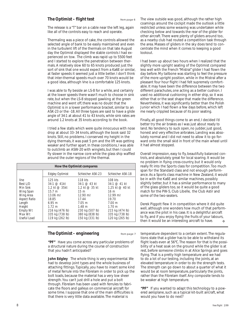# **The Optimist – flight test** from page 6

The release is a "T" bar on a cable near the left leg, again like all of the controls easy to reach and operate.

Thermaling was a piece of cake, the controls allowed the selected angle of bank to be easily maintained and even in the turbulent lift of the thermals on that late August day the Optimist displayed the stable controls I had experienced on tow. The climb was rapid up to 5500 feet and I started to explore the penetration between thermals. A relatively slow 60 to 65 knots produced just the sort of sink that one would expect from a Ka6E or similar, at faster speeds it seemed just a little better. I don't think that inter-thermal speeds much over 70 knots would be a good idea, although Vne is a comfortable 125 knots.

I was able to fly beside an LS-8 for a while, and certainly at the lower speeds there wasn't much to choose in sink rate, but when the LS-8 stopped gawking at the green machine and went off, there was no doubt that the Optimist is in a lower performance bracket, similar to an ASK-23 or the -18. All three types are said to have a glide angle of 34:1 at about 41 to 43 knots, while sink rates are around 1.2 knots at 35 knots according to the book.

I tried a few stalls which were quite innocuous with nose drop at about 33–34 knots, although the book said 32 knots. Still, no problems. I conserved my height in the dying thermals, it was past 5 pm and the lift was getting weaker and further apart. In these conditions, I was able to outclimb an ASW-20 with winglets, but then I could fly slower in the narrow core while the glass ship waffled around the outer regions of the thermal.

| How the Optimist compares                                                                                                                    |                                                                                                                                                                                 |                                                                                                                                                                                                   |                                                                                                                                                                                    |  |  |  |
|----------------------------------------------------------------------------------------------------------------------------------------------|---------------------------------------------------------------------------------------------------------------------------------------------------------------------------------|---------------------------------------------------------------------------------------------------------------------------------------------------------------------------------------------------|------------------------------------------------------------------------------------------------------------------------------------------------------------------------------------|--|--|--|
|                                                                                                                                              | <b>Edgley Optimist</b>                                                                                                                                                          | Schleicher ASK-23                                                                                                                                                                                 | Schleicher ASK-18                                                                                                                                                                  |  |  |  |
| Vne<br>Best L/D<br>Min Sink<br>Wing Span<br>Wing Area<br><b>Aspect Ratio</b><br>Length<br>Height<br><b>Empty Wt</b><br>Max Wt<br>Useful Load | 125 kts<br>$34:1 \; \textcircled{a}$ 41kt<br>1.2 kt @ 35kt<br>15.7 m<br>$13.06 \text{ m}$<br>18.85<br>6.95 m<br>1.72 m<br>216 kg (476 lb)<br>335 kg (738 lb)<br>119 kg (262 lb) | 118 kts<br>$34:1 \; \text{\textcircled{a}}\; 43 \; \text{kt}$<br>1.2 kt @ 35 kt<br>15m<br>$12.90 \text{ m}$<br>17.44<br>7.05 m<br>1.48 m<br>230 kg (507 lb)<br>380 kg (838 lb)<br>150 kg (331 lb) | 108 kts<br>$34:1 \; \textcircled{a}$ 41 kt<br>1.25 kt @ 40 kt<br>16 m<br>$12.99 \text{ m}$ 2<br>19.70<br>7.00 m<br>1.70 m<br>215 kg (474 lb)<br>335 kg (738 lb)<br>120 kg (265 lb) |  |  |  |

# *The Optimist – engineering* from page 7

**"PF"** Have you come across any particular problems of a structural nature during the course of construction that you hadn't anticipated?

**John Edgley** The whole thing is very experimental. We had to develop joint types and the whole business of attaching fittings. Typically, you have to insert some kind of metal ferrule into the Fibrelam in order to pick up the bolt loads, because the material has a very low sheer strength. You can't just drill a hole and put a bolt through. Fibrelam has been used with ferrules to fabricate the floors and galleys on commercial aircraft for some time. I suppose that one of the main difficulties is that there is very little data available. The material is

The view outside was good, although the rather high coamings around the cockpit made the outlook a little restricted unless some weaving was undertaken while checking below and towards the rear of the glider for other aircraft. There were plenty of gliders around too, as a nearby club had routed a competition task through the area. Masses of gliders in the sky does tend to concentrate the mind when it comes to keeping a good lookout.

I had been up about two hours when I realized that the slightly more upright seating of the Optimist compared less well with the French "Mistral" glider I had flown the day before. My tailbone was starting to feel the pressure of the more upright position, while in the Mistral after a pleasant four hour flight I had felt supremely comfortable. It may have been the difference between the two different parachutes, one acting as a better cushion. I used no additional cushioning in either ship, so it was either that or the seat shape that made the difference. Nevertheless, it was significantly better than the Polish Junior which I had flown a few days before, which left me nearly crippled because of its poor seating.

Finally, all good things come to an end, I decided I'd better try the air brakes as I was just about ready to land. No tendency to suck open, no judder, just good, honest and very effective airbrakes. Landing was absolutely normal and I did not need to allow it to go forward onto the small skid in front of the main wheel until it had almost stopped.

Overall impression, easy to fly, beautifully balanced controls, and absolutely great for local soaring. It would be no problem in flying cross-country, but it would only really fit into the Sports class for competition. Too much span for the Standard class and not enough performance. As a Sports class machine in New Zealand, it would be in with the Ka6E and similar machines, possibly slightly better, but it has a similar performance to many of the glass gliders too, so it would be quite a good match for the PW-5, Club Libelle, the Club Astir and some of the two-seaters.

Derek Piggott flew it in competition where it did quite well, although one wonders how much of that performance was the pilot in his case. It is a delightful aircraft to fly, and if you enjoy flying the fruits of your labours, then it would be an interesting aircraft to have. ❖

temperature dependent to a certain extent. The regulations state that a glider has to be able to withstand its flight loads even at 56°C. The reason for that is the possibility of a heat soak on the ground while the glider is at rest, before someone climbs in at Alice Springs and goes flying. That is a pretty high temperature and we had to do a lot of our testing, including the joints, at an elevated temperature in order to do the strength tests. The strength can go down to about a quarter of what it would be at room temperature, particularly the joints, rather than the Fibrelam itself. Any composite tends to be weaker at high temperature.

**"PF"** If you wanted to adapt this technology to a powered aeroplane, such as a typical kit-built aircraft, what would you have to do next?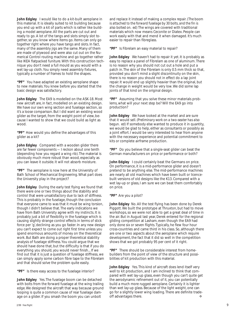**John Edgley** I would like to do a kit-built aeroplane in this material. It is ideally suited to kit building because you end up with a kit of parts which is rather like building a model aeroplane. All the parts are cut out and ready to go. A lot of the tangs and slots simply slot together, so you know where items go. Items can only go together right where you have tangs and slots. In fact, many of the assembly jigs are the same. Many of them are made of plywood and were also cut out on the Numerical Control routing machine and go together rather like IKEA flatpacked funiture. With this construction technique you don't need a full mould as you would with a wet lay-up cloth. You simply need assembly fixtures, typically a number of frames to hold the shapes.

**"PF"** You have adapted an existing aeroplane shape to new materials. You knew before you started that the basic design was satisfactory.

**John Edgley** The EA9 is modelled on the ASK-18. Most new aircraft are, in fact, modelled on an existing design. We have our own wing section and fuselage section, so it's a loose comparison. But I did want an existing wood glider as the target, from the weight point of view, because I wanted to show that we could build as light as wood.

**"PF"** How would you define the advantages of this glider as a kit?

**John Edgley** Compared with a wooden glider there are far fewer components — I reckon about one tenth (depending how you regard a wing rib). The material is obviously much more robust than wood, especially as you can leave it outside. It will not absorb moisture.

**"PF"** The aeroplane is now here at the University of Bath School of Mechanical Engineering. What part does the University play in the project?

**John Edgley** During the early test flying we found that there were one or two things about the stability and control that were unsatisfactory due to lack of stiffness. This is probably in the fuselage, though the conclusion that everyone came to was that it must be wing torsion, though I didn't believe that. The early indications we have from Bath University agree with my instincts. It is probably just a bit of flexibility in the fuselage which is causing slightly strange control effects in terms of stick force per 'g', declining as you go faster. In any new design you can't expect to come out right first time unless you spend enormous amounts of money on the theoretical work. But Bath are doing a proper theoretical stability analysis of fuselage stiffness. You could argue that we should have done that, but the difficulty is that if you do everything you should, you would never finish... If we find out that it is just a question of fuselage stiffness, we can simply apply some carbon fibre tape to the Fibrelam and that should solve the problem quite easily.

**"PF"** Is there easy access to the fuselage interior?

**John Edgley** Yes. The fuselage boom can be detached with bolts from the forward fuselage at the wing trailing edge. We designed the aircraft that way because ground looping is quite a common cause of rear fuselage damage on a glider. If you smash the boom you can unbolt

and replace it instead of making a complex repair. *(The boom is attached to the forward fuselage by 30 bolts, and the fin is also bolted on. ed)* The wings are covered with traditional materials which now means Ceconite or Diatex. People can work easily with that and mend it when damaged. It's much easier to repair than fibreglass.

**"PF"** Is Fibrelam an easy material to repair?

**John Edgley** We haven't had to repair it yet. It is probably as easy to replace a panel of Fibrelam as one of aluminum. There is no reason why you should not cut out a hole and put a patch in. The skin of the Fibrelam is only 0.5 mm thick so that, provided you don't mind a slight discontinuity on the skin, there is no reason you should not in effect do a lap joint repair. It would end up slightly heavier than the original, but the change in weight would be very low. We did some lap joints of that kind on the original design.

**"PF"** Assuming that you solve these minor materials problems, what will your next step be? Will the EA9 go into production?

**John Edgley** We have looked at the market and are sure that it would sell. *(Preliminary work on a two-seater has also begun. ed)* If somebody else wanted to produce it in quantity, we would be glad to help, either as consultants or possibly as a joint effort. I would be very interested to hear from anyone with the necessary experience and potential commitment to kits or complete airframe production.

**"PF"** Do you believe that a single-seat glider can beat the German manufacturers on price or performance or both?

**John Edgley** I could certainly beat the Germans on price. On performance, it is a mid-performance glider and doesn't pretend to be anything else. The mid-performance machines are nearly all old machines which have been built or licencebuilt versions of old designs like the K13. Compared with a wet lay-up or glass, I am sure we can beat them comfortably on price.

**"PF"** Are you a pilot?

**John Edgley** No. All the test flying has been done by Derek Piggott. We built the prototype at Thruxton, but had to move workshops, so we were not able to get a great deal of time in the air. But in August last year, Derek entered for the regional gliding competition at Lasham, even though the EA9 had only done six or seven flights. Typically, he flew four hour cross-countries and came third in his class. So, although there are one or two aspects about the aeroplane which require development, the fact that it did so well in the competition shows that we got probably 95 per cent of it right.

**"PF"** There should be considerable interest from homebuilders from the point of view of the structure and possibilities of kit production with this material.

**John Edgley** Yes. This kind of aircraft does lend itself very well to kit production, and I am inclined to think that compared with wet lay-up glass, even though you can't quite get the aerodynamic refinement out of it, you can potentially build a much more rugged aeroplane. Certainly it is lighter than wet lay-up glass. Because of the light weight, one can go for a slightly lower wing loading. There are definite tradeoff advantages there.  $\bullet$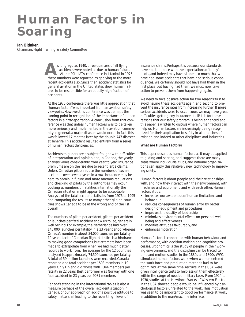# **Human Factors in Soaring**

# **Ian Oldaker**,

Chairman, Flight Training & Safety Committee

these numbers were reported as applying to the more recent accidents also. Since then, accident statistics for general aviation in the United States show human failures to be responsible for an equally high fraction of accidents. **A**s long ago as 1940, three-quarters of all flying accidents were noted as due to human failure. At the 20th IATA conference in Istanbul in 1975,

At the 1975 conference there was little appreciation that "human factors" was important from an aviation safety viewpoint. However, this conference was perhaps the turning point in recognition of the importance of human factors in air transportation. A conclusion from that conference was that unless human factors was to be taken more seriously and implemented in the aviation community in general, a major disaster would occur. In fact, this was followed 17 months later by the double 747 disaster at Tenerife. This accident resulted entirely from a series of human factors deficiencies.

Accidents to gliders are a subject fraught with difficulties of interpretation and opinion and, in Canada, the yearly analysis varies considerably from year to year. Insurance premiums are on the rise due to recent large claims. Unless Canadian pilots reduce the numbers of severe accidents over several years in a row, insurance may be hard to obtain in future, and more onerous regulations and checking of pilots by the authorities may occur. Looking at numbers of fatalities internationally, the Canadian situation might appear to be acceptable. Analysis of the fatal accident statistics from 1976 to 1995 and comparing the results to many other gliding countries shows Canada to be at the wrong end of the list overall.

The numbers of pilots per accident, gliders per accident or launches per fatal accident show us to lag, generally well behind. For example, the Netherlands had over 145,000 launches per fatality in a 23 year period whereas Canada's number is about 34,000 launches per fatality in 19 years. Lack of Canadian flight statistics is a hindrance to making good comparisons, but attempts have been made to extrapolate from when we had much better records to work from. The average for the 12 countries analyzed is approximately 74,500 launches per fatality. A total of 59 million launches were recorded. Canada recorded one fatal accident per 1508 members in 19 years. Only Finland did worse with 1344 members per fatality in 22 years. Best performer was Norway with one fatal accident in 23 years per 9081 members.

Canada's standing in the international tables is also a measure perhaps of the overall accident situation in Canada, of our approach or lack of a positive attitude to safety matters, all leading to the recent high level of

insurance claims. Perhaps it is because our standards have not kept pace with the expectations of today's pilots, and indeed may have slipped so much that we have had some accidents that have had serious consequences. We certainly should not have had them in the first place, but having had them, we must now take action to prevent them from happening again.

We need to take positive action for two reasons; first to avoid having these accidents again, and second to prevent the insurance rates from increasing further. If more serious accidents were to occur soon, we may have great difficulties getting any insurance at all! It is for these reasons that our safety program is being enhanced and this paper is written to discuss where human factors can help us. Human factors are increasingly being recognized for their application to safety in all branches of aviation and indeed to other disciplines and industries.

# **What are Human Factors?**

This paper describes human factors as it may be applied to gliding and soaring, and suggests there are many areas where individuals, clubs, and national organizations can apply this relatively new technology to improving safety.

Human factors is about people and their relationships with, and how they interact with their environment, with machines and equipment, and with each other. Human factors study:

- increases our awareness of human limitations and behaviour
- reduces consequences of human error by better design of equipment and procedures
- improves the quality of leadership
- minimizes environmental effects on personal wellbeing and effectiveness
- modifies attitudes favourably, and
- enhances motivation

Human factors is concerned with human behaviour and performance, with decision-making and cognitive processes. Ergonomics is the study of people in their working environment, and the discipline can be traced to time and motion studies in the 1880s and 1890s. WW1 stimulated human factors work when women entered the work force and production methods had to be optimized. At the same time, recruits in the USA were given intelligence tests to help assign them effectively within the range of needed military tasks. From 1924 to 1930, studies at the Hawthorn Works of Western Electric in the USA showed people would be influenced by psychological factors unrelated to the work. Thus motivation was seen to be important to good performance at work, in addition to the man/machine interface.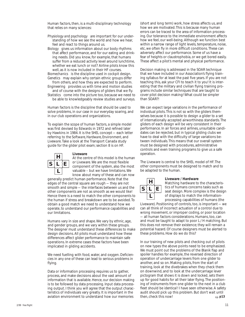Human factors, then, is a multi-disciplinary technology that relies on many sciences:

*Physiology and psychology* are important for our understanding of how we see the world and how we hear, feel and react to things around us.

*Biology* gives us information about our body rhythms that affect performance, and for our eating and drinking needs. Did you know, for example, that humans suffer from a reduced activity level around lunchtime, whether we eat lunch or not? Airline pilots know this well, as it is now included in their HF courses.

*Biomechanics* is the discipline used in cockpit design. *Genetics* may explain why certain ethnic groups differ

- from others, and how they are expected to perform. *Engineering* provides us with time and motion studies and of course with the designs of gliders that we fly.
- *Statistics* come into the picture too, because we need to be able to knowledgeably review studies and surveys.

Human factors is the discipline that should be used to solve problems, in our case in our everyday soaring, and in our club operations and organizations.

To explain the scope of human factors, a simple model was first devised by Edwards in 1972 and refined later by Hawkins in 1984. It is the *SHEL* concept — each letter referring to the *Software, Hardware, Environment*, and *Liveware*. Take a look at the Transport Canada study guide for the glider pilot exam; section 8 is on HF.

**Liveware**

# **H S L E L**

At the centre of this model is the human or Liveware. We are the most flexible component of the system, also the most valuable – but we have limitations. We know about many of these and can now

generally predict human performance. Note that the edges of the central square are rough — they are not smooth and simple — the interfaces between us and the other components are not as smooth as we would like! Hence there is a need to match the other components to the human if stress and breakdown are to be avoided. To obtain a good match we need to understand how we operate, to understand our performance capabilities and our limitations.

Humans vary in size and shape. We vary by ethnic, age, and gender groups, and we vary within these groups. The designer must understand these differences to make design decisions. All pilots must understand how these differences affect glider performance to maintain safe operations. In extreme cases these factors have been implicated in gliding accidents.

We need fuelling with food, water, and oxygen. Deficiencies in any one of these can lead to serious problems in flying.

Data or information processing requires us to gather. process, and make decisions about the vast amount of information that is available. Hence, our decision making is to be followed by data processing. Input data processing output. I think you will agree that the output characteristics of individuals vary greatly. It is important in the aviation environment to understand how our memories

(short and long term) work, how stress affects us, and how we are motivated. This is because many human errors can be traced to the area of information processing. Our tolerance to the immediate environment affects how we feel, our well-being. Although we function best within a narrow range of light levels, temperature, noise, etc, we often fly in more difficult conditions. These can adversely affect our performance. Some of us have a fear of heights or claustrophobia, or we get bored easily. These affect a pilot's mental and physical performance.

Decision making is addressed in the SOAR technique that we have included in our Association's flying training syllabus for at least the past five years. If you are not teaching this, ask your CFI to teach it to you! It is interesting that the military and civilian flying training programs include similar techniques that are taught to cover pilot decision making! What could be simpler than SOAR?!

We can expect large variations in the performance of individual pilots. This is not so with the gliders themselves because it is possible to design a glider to a set of internationally accepted airworthiness standards. The gliders of each design will be very consistent in their performance. In air forces and airlines, unsuitable candidates can be rejected, but in typical gliding clubs we have to deal with the difficulty of large variations between individuals. This means that our overall system must be designed with procedures, administrative controls and even training programs to give us a safe operation.

The Liveware is central to the SHEL model of HF. The other components must be designed to match and to be adapted to the human.



# **Liveware / Hardware**

Matching hardware to the characteristics of humans concerns tasks such as seat design. More complex is the design of displays to match the informationprocessing capabilities of humans (the

Liveware). Positioning of controls, too, is important — we can all think of incorrect actuation of a control due to wrong movement, or improper coding, or poor location — all human factors considerations. Humans, too, can and must be taught to adapt to poor L / H matching. But this does not remove their existence; they will remain a potential hazard. Of course designers must be alerted to these problems. How do we do this?

In our training of new pilots and checking out of pilots on new types the above points need to be emphasized. We must point out the problems of the Blanik flap and spoiler handles for example, the reversed direction of operation of undercarriage levers from one glider to another, and so on. Making pilots, from the start of training, look at the divebrakes when they check them on downwind, and to look at the undercarriage lever pictogram that shows it is down and locked, sets them up for good habits for all their later flying. The positioning of instruments from one glider to the next in a club fleet should be *identical*! I have seen otherwise. A safety audit should pick up this problem. But don't wait until then, check this now! ➯ **p13**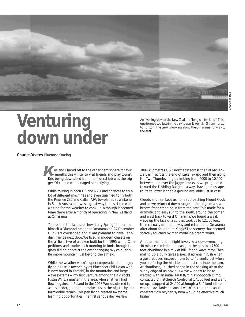

# **Venturing down under**

*An evening view of the New Zealand "long white cloud". This one formed too late in the day to use. It went N–S from horizon to horizon. The view is looking along the Omarama runway to the east.*

#### **Charles Yeates**, Bluenose Soaring

ris and I hared off to the other hemisphere for four ris and I hared off to the other hemisphere for four 300+ kilometres O&R, northeast across the flat McKen-<br>
Kris' heing downsized from her federal job was the trig.<br>
Kris' heing downsized from her federal job was the trig. Kris' being downsized from her federal job was the trigger. Of course we managed some flying ....

While touring in both OZ and NZ, I had chances to fly a lot of different machines and even qualified to fly both the Pawnee 235 and Callair A9A towplanes at Waikerie in South Australia. It was a great way to pass time while waiting for the weather to cook up, although it seemed tame there after a month of operating in New Zealand at Omarama.

You read in the last issue how Larry Springford earned himself a Diamond height at Omarama on 24 December. Our visits overlapped and it was pleasant to have Canadian friends next door. We lived in modern chalets on the airfield, two of a dozen built for the 1995 World Competitions, and awoke each morning to look through the glass sliding doors at the ever changing sky colouring Benmore mountain just beyond the airfield.

While the weather wasn't super cooperative, I did enjoy flying a Discus (owned by ex-Bluenoser Phil Dolan who is now based in Karachi) in the mountains and large wave systems — my first venture among the big rocks. Justin Wills, a master in the area, whose father I had flown against in Poland in the 1958 Worlds, offered to act as leader/guide to introduce us to the big, tricky and formidable terrain. This pair flying created *awesome* learning opportunities. The first serious day we flew

zie Basin, across the end of Lake Tekapo and then along the Two Thumbs range, climbing from 6000 to 10,000 between and over the jagged rocks as we progressed toward the Dividing Range — always having an escape route to lower landable ground available just in case.

Clouds and rain kept us from approaching Mount Cook and so we returned down range at the edge of a seabreeze front creeping in from the east. This made for a dramatic and easy run to the south, around the corner and west back toward Omarama. We found a weak wave up the face of a cu that took us to 12,500 feet, then casually dropped away and returned to Omarama after about four hours. Magic! The scenery that seemed scarcely touched by man made it a dream world.

Another memorable flight involved a slow, wrenching 40 minute climb from release, up the hills to a 7500 foot cloudbase in a mix of hill lift and wave rotor. Thermaling up a gully gives a special adrenalin rush when a gust reduces airspeed from 65 to 40 knots just when you are facing the hillside and must continue the turn. At cloudbase, I pushed ahead in the shaking air to the sunny edge of an obvious wave window to be rewarded with an initial 1400 ft/min smoooooth climb, contacted Christchurch Control at 17,500 feet and went on up. I stopped at 24,000 although a 3–4 knot climb was still available because I wasn't certain the canula constant flow oxygen system would be effective much higher.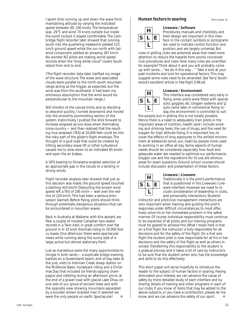I spent time running up and down the wave front maintaining altitude by varying the indicated speed between 85–100 knots. The temperature was -29°C and wind 70 knots outside but inside the sunlit cockpit it stayed comfortable. The Cambridge flight recorder later showed that running south into the quartering headwind yielded 123 km/h ground speed while the run north with tailwind component yielded an amazing 287 km/h. No wonder NZ pilots are making world speed records when the "long white cloud" covers South Island from end to end.

(The flight recorder data later clarified my image of the wave structure. The wave and associated clouds were parallel to the north-south mountain range acting as the trigger, as expected, but the wind was from the southwest. It had been my erroneous assumption that the wind would be perpendicular to the mountain range.)

Still mindful of the canula limits, and so deciding to descend quickly, I turned downwind and moved into the smoothly plummeting section of the system. Instinctively I pushed the stick forward to increase airspeed as one does when thermaling cross-country — and then realized that the resulting true airspeed (TAS) at 20,000 feet could be into the risky part of the glider's flight envelope. The thought of a gust load that could be created by hitting secondary wave lift or other turbulence caused me to slow down to an indicated 65 knots and open the air brakes.

A GPS bearing to Omarama enabled selection of an appropriate gap in the clouds to a landing in strong winds.

Flight recorder analysis later showed that just as this decision was made, the ground speed touched a startling 414 km/h! Deducting the known wind speed left a TAS of 295 km/h — well over the redline of 220 km/h. This had been a serious error. Lesson learned. Before flying, pilots should think through potentially dangerous situations that can be encountered in mountain waves.

Back in Australia at Waikerie, with Kris aboard, we flew a couple of modest Canadian two-seater records in a Twin Astir, in great comfort over flat ground in 4–10 knot thermals rising to 10,000 foot cu bases. One afternoon there were spectacular views while running along the sunny side of a large, active but almost stationary front.

Just as marvellous were the many opportunities to mingle in both lands — a duplicate bridge evening, barbies on a Queensland beach, end of day tales at the pub, visits to Irishman Creek sheep station on the McKenzie Basin, horseback riding and a Christmas Day that included six friends sipping champagne and nibbling during an afternoon picnic at the end of a gravel road with glacial Lake Ohau on one side of our grove of ancient trees and with the opposite view showing mountains separated by a boulder strewn braided river. It seemed we were the only people on earth. Spectacular!  $\bullet$ 

# *Human factors in soaring* From page 11



# **Liveware / Software**

Procedures, manuals and checklists, and their design are important in this interface. In the cockpit, symbols or pictograms are used to indicate control function and position, and are largely universal. But

rules in gliding clubs are potential areas that need more attention to reduce the hazards from poorly conceived club procedures and rules. How many rules are unwritten for example? Think about it and you will probably come up with some… "*we* do it this way…" Take a look at your past incidents and look for operational factors. This may suggest some rules need to be amended. See Terry Southwood's excellent article in *free flight 2/98 p8*.



# **Liveware / Environment**

This interface was considered very early in flying, when pilots were fitted with special suits, goggles, etc. Oxygen systems and 'g' suits came later. In commercial flying today, the environment is controlled to suit

the people, but in gliding this is not totally possible. Hence there is a need to adequately train pilots in the important areas of nutrition, health (and I include smoking and drinking here), the use of drugs, and the need for oxygen for high altitude flying. It is important too, to cover the effects of long exposures to the airfield environment at weekends (wind, sun, heat) by people more used to working in an office all day. Some aspects of human needs should be considered, especially how food and adequate water are needed to optimize our performance. Oxygen use and the regulations for its use are obvious areas for exam questions. Ground school courses should include discussion and presentation of these factors.



## **Liveware / Liveware**

Traditionally it is the pilot's performance that is questioned in this Liveware / Liveware interface. However we need to include consideration of leadership in clubs, and personality interactions. Student/

instructor and pilot/club management interactions are very important when training and guiding the pilot's responses under difficult circumstances, to most effectively solve his or her immediate problem in the safest manner. Of course, individual responsibility must continue to be expected of all pilots, and our training programs must be geared to achieve this. What I mean here is that on a first flight the instructor is fully responsible for all decisions and for the safety of the flight. On a first solo flight the student pilot is now responsible for all his or her decisions and the safety of the flight as well as others involved. Transferring this responsibility to the student is a gradual process and it takes a lot of care by instructors to be sure that the student, when solo, has the knowledge and skills to do this effectively.

This short paper will serve hopefully to introduce the reader to the subject of human factors in soaring. Having stimulated your interest, we can advance the cause of safety by more detailed study of each interface and by sharing details of training and other programs in each of our clubs. If you know of items that may be added to the above subjects, or you have a contribution, please let me know, and we can advance the safety of our sport.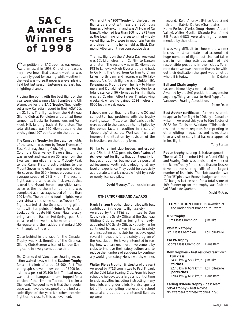# **SAC Awards Winners of 1998**

Competition for SAC trophies was greater than usual in 1998. One of the reasons may have been that eastern weather was unusu-ally good for soaring, while weather in the west was worse. It never is a level playing field but last season Easterners, at least, had a fighting chance.

Proving the point with the best flight of the year were joint winners *Nick Bonnière* and *Ulli Werneburg* for the *BAIC Trophy*. They jointly set a new Canadian record in their ASW-20s on 31 July. The flights, from the Gatineau Gliding Club at Pendleton airport, had three turnpoints: Brockville, Bonnechere, and Vankleek Hill, landing back at Pendleton. The total distance was 560 kilometres, and the pilots gained 907 points to win the trophy.

The *Canadair Trophy*, for the best five flights of the season, was won by *Trevor Florence* of East Kootenay Soaring Club, flying down the Columbia River valley. Trevor's first flight was an out-and-return on 30 June from the Swansea hang glider ramp to Moberly Peak to the Canal Flats forestry bridge, to the Mount Seven hang glider ramp near Golden. He covered the 530 kilometre course at an average speed of 78.5 km/h. The second flight was the same as the first, except that it used the Mount Seven hang glider ramp twice as the northern turnpoint, and was completed at an average speed of more than 100 km/h. The third and fourth flights were over virtually the same course. Trevor's fifth flight started at the Swansea hang glider ramp, with turnpoints of Moberly Peak, Lakit Lookout, Harrogate Mill, Canal Flats forestry bridge and the Radium Hot Springs pool. But because of the weather, he made a turn at Harrogate and then added a standard 100 km triangle to the end.

Close behind in the race for the Canadair Trophy was Nick Bonnière of the Gatineau Gliding Club. George Wilson of London Soaring came in a very competitive third.

*Ted Chernecki* of Vancouver Soaring Association walked away with the *Stachow Trophy* for a net climb of about 16,900 feet. The barograph showed a low point of 6200 feet asl and a peak of 23,100 feet. The bad news was that the barograph drum stopped for a portion of the climb, so Ted couldn't claim a Diamond. The good news is that the irregular trace was, nevertheless, proof of the best altitude flight of the year. No other recorded flight came close to this achievement.

Winner of the *"200" Trophy* for the best five flights by a pilot with less than 200 hours time as pilot-in-command was Al Hoar of Cu Nim. Al, who had less than 100 hours P1 time at the beginning of the season, had widely varied flights. Two were in mountain terrain and three from his home field at Black Diamond, Alberta on three consecutive days.

The first flight on the Victoria Day weekend was 101 kilometres from Cu Nim to Nanton and return. The second was an 81 kilometres PST to Longview, High River airport and back to Cu Nim. The third, from Cu Nim to Chain Lakes north dam and return, was 96 kilometres. Al's fourth flight was at Golden, BC. Releasing at Mount Seven, he flew to Mummery and Donald, returning to Golden for a total distance of 96 kilometres. His fifth flight was at Cowley, Alberta on Thanksgiving weekend, where he gained 2624 metres or 8600 feet in weak wave.

I should mention that more than one OO and competitor had problems with the trophy scoring system. Most often, the "basic points" were added to the basic points multiplied by the bonus factors, resulting in a sort of "double-dip" of scores. We'll see if we can improve the situation by revision of the instructions on the trophy form.

I'd like to remind club leaders, and especially CFIs, that SAC presents *Certificates of Achievement* for flights that don't qualify for badges or trophies, but represent a personal achievement worth acknowledging, at any level of experience. They could be especially appropriate to mark a notable flight by a solo or newly licensed pilot.

**David McAsey**, Trophies chairman

# **OTHER TROPHIES AND AWARDS**

**Hank Janzen trophy** *(club or pilot with best contribution in the year to flight safety)* Awarded by the FT&S committee to *Dan Cook*. He is the Safety Officer at the Gatineau Gliding Club as well as being the newlyappointed SAC Safety Officer. Not only has he continued to keep a keen interest in safety and instructing at his club, he has developed several innovations for the safety program of the Association. He is very interested in seeing how we can get more involvement by clubs to improve their safety culture and to reduce the numbers of accidents by continually working on safety. He is a worthy winner.

**Walter Piercy trophy** *(instructor of the year)* Awarded by FT&S committee to *Paul Frigault* of the Cold Lake Soaring Club. From his busy schedule he devoted a large amount of time to club activities including instructing many towpilots and glider pilots. He also spent a lot of time compiling the ground school material and put it on the internet! Runners up were:

second, Keith Andrews (Prince Albert) and third, Gabriel Duford (Champlain). Norm Perfect (York), Doug Moore (Alberni Valley), Walter Mueller (Grande Prairie) and Bill Roach (MSC) were also highly recommended by their clubs.

It was very difficult to choose the winner because most candidates had accumulated huge numbers of flights but also had taken part in non-flying activities and had held responsible positions in their clubs. To all candidates we owe a vote of thanks, for without their dedication the sport would not be where it is today. *Ian Oldaker*

## **Ball and Chain trophy**

*(accomplishment by a married pilot)* Awarded by the SAC president to anyone, for anything. This year it was to *Heidi Popp* of the Vancouver Soaring Association.

*Pierre Pepin*

**Best Author certificate** *(for the best article to appear in free flight in 1998 by a Canadian writer)* Awarded this year to *Jörg Stieber* of SOSA for "Collision Avoidance". This article resulted in more requests for reprinting in other gliding magazines and newsletters than any other story that has ever appeared in *free flight*.

*Tony Burton*

**Roden trophy** *(soaring skills development)* The small (11 member) *Prince Albert Gliding and Soaring Club* was undisputed winner of the *Roden Trophy* for the club that, for its size, develops the soaring skills of the largest number of its pilots. The club awarded two "A" or "B" pins, two Bronze badges and three "C" badges last season, for a total score of 109. Runner-up for the trophy was Club de Vol à Voile de Québec.

| <b>COMPETITION TROPHIES</b> awarded at<br>the Nationals at Brandon, MB were:                                    |                |  |  |  |  |
|-----------------------------------------------------------------------------------------------------------------|----------------|--|--|--|--|
| <b>MSC trophy</b><br>15m Class Champion                                                                         | Jim Oke        |  |  |  |  |
| Wolf Mix trophy<br>Std. Class Champion                                                                          | Ed Hollestelle |  |  |  |  |
| <b>CALPA trophy</b><br>Sports Class Champion Hans Berg                                                          |                |  |  |  |  |
| <b>Dow trophies</b> – best assigned task flown                                                                  |                |  |  |  |  |
| 15m class<br>243.0 km @ 58.5 km/h Jim Oke                                                                       |                |  |  |  |  |
| Std class<br>227.3 km @ 65.9 km/h Ed Hollestelle                                                                |                |  |  |  |  |
| Sports class<br>220.4 km @ 61.8 km/h Hans Berg                                                                  |                |  |  |  |  |
| Carling O'Keefe trophy - best Team<br><b>SOSA trophy</b> - best Novice<br>No awardees for these trophies in '98 |                |  |  |  |  |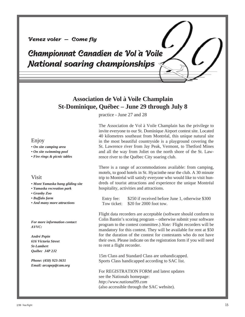# **Venez voler – Come fly**

**Championnat Canadien de Vol à Voile National soaring championships**

# **Association de Vol à Voile Champlain St-Dominique, Québec – June 29 through July 8**

practice - June 27 and 28

# Enjoy

*• On site camping area*

*• On site swimming pool*

*• Fire rings & picnic tables*

# Visit

*• Mont Yamaska hang gliding site*

- *Yamaska recreation park*
- *Granby Zoo*
- *Buffalo farm*
- *And many more attractions*

*For more information contact AVVC:*

*André Pepin 616 Victoria Street St-Lambert Québec J4P 2J2*

*Phone: (450) 923-3631 Email: arcapep@cam.org* The Association de Vol à Voile Champlain has the privilege to invite everyone to our St. Dominique Airport contest site. Located 40 kilometres southeast from Montréal, this unique natural site in the most beautiful countryside is a playground covering the St. Lawrence river from Jay Peak, Vermont, to Thetford Mines and all the way from Joliet on the north shore of the St. Lawrence river to the Québec City soaring club.

There is a range of accommodations available: from camping, motels, to good hotels in St. Hyacinthe near the club. A 30 minute trip to Montréal will satisfy everyone who would like to visit hundreds of tourist attractions and experience the unique Montréal hospitality, activities and attractions.

Entry fee: \$250 if received before June 1, otherwise \$300 Tow ticket: \$20 for 2000 foot tow.

Flight data recorders are acceptable (software should conform to Colin Bantin's scoring program – otherwise submit your software program to the contest committee.) *Note:* Flight recorders will be mandatory for this contest. They will be available for rent at \$50 for the duration of the contest for contestants who do not have their own. Please indicate on the registration form if you will need to rent a flight recorder.

15m Class and Standard Class are unhandicapped. Sports Class handicapped according to SAC list.

For REGISTRATION FORM and latest updates see the Nationals homepage: *http://www.national99.com* (also accessible through the SAC website).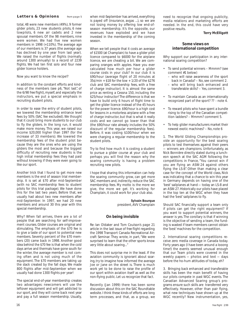#### **Letters & Opinions** from page 5

total, 48 were new members (49%), 9 former glider pilots, 23 new students pilots, 6 new towpilots, 6 new air cadets and 2 new spousal members. Of the 98 members, nine were women. We had five new women members in 1998 (+110%). The average age of our members is 37 years (the average age has declined by one year from last year). We raised the number of flights (normally around 1300 annually) to a record of 2239 flights. We had ten first solo and four new glider licence holders.

Now you want to know the recipe!?

In addition to the constant efforts and kindness of the members (see p6, "Not last", of the 6/98 *free flight*), myself, and especially the instructors, we put a special emphasis in recruiting student pilots.

In order to ease the entry of student pilots, we lowered the membership entrance level fees by 50% (SAC fee excluded). We thought that it could bring more students to our club to fly the gliders. In the long run, it would make more money. This year, we raised our income \$20,000 higher than 1997 (for the increase of 33 members). We lowered the membership fees of the student pilot because they are the ones who are using the gliders the most and because the biggest difficulty of recruiting new students is the high initial membership fees they had paid without knowing if they were even going to like our sport.

Another trick that I found to get more new members is the end of season trial membership. It is set at \$70 after mid-September (with no SAC membership fees to student pilots for this trial package). We have done this for the last two years. Before that, we usually had about two new members after mid-September. In 1997, we had 20 new members and around 30 this year with this special membership.

Why? When fall arrives, there are a lot of people that are searching for self-improvement courses. Glider courses are original and stimulating. The emphasis of the \$70 fee is to give a taste of our sport to potential new members. Seventy percent of the \$70 members (20) came back in 1998. Another good idea behind the \$70 fee is that when the cold days arrive and thermals have gone south for the winter, the average member is not coming often and is not using much of the equipment. The \$70 members are taking up the slack created by the fall days. We made 800 flights after mid-September when we usually had done 1300 flights per year!

The special end-of-year membership creates two advantages: newcomers will use the leftover equipment and will get addicted to our sport, and they will come back next year and pay a full season membership. Usually, when mid-September has arrived, everything is payed off (insurance, avgas ...), so we are not losing money by offering low end-ofseason membership. It's the opposite, our revenues have exploded and we have invested in the membership of the coming season.

When we tell people that it costs an average of \$1500 (at Champlain) to have a glider pilot licence compared to \$6000 for the airplane licence, we *are* cheating a bit. We are comparing oranges with apples. Have you ever calculated how much per hour a glider course costs in your club? In our club it is \$90/hour (average flight of 20 minutes at 35¢/min + \$18 for the tow + 1/20 of the \$276 club and SAC membership fees, with a free of charge instructor). It is almost the same price as renting a Cessna 150, including the \$25/hour instructor! The difference is that we have to build only 6 hours of flight time to get the glider licence instead of the 45 hours for the power licence. \$90/hour is a high cost for lessons in a motorless airplane with a free of charge instructor, but that is what it really costs and we cannot go lower than that (the \$90/hour rate already includes the 50% discount of the regular membership fees). Before, it was costing \$100/hour when we were charging a regular membership to the student pilots.

Try to find how much it is costing a student to pursue a glider course at your club and perhaps you will find the reason why the soaring community is having a problem recruiting new pilots.

I hope that sharing this information can help the soaring community grow, can get more SAC members and, indirectly, reduce the SAC membership fees. My motto is: the more we give, the more we get. It's working for Champlain, it could work for your club also.

> **Sylvain Bourque** president, AVV Champlain

# **On being invisible**

Re: Ian Oldaker and Tom Coulson's page 21 article in the last issue of *free flight* regarding the 1998 Transport Canada Recreational Aircraft Seminar. They wrote, in part, "We were surprised to learn that the other sports know very little about soaring..."

This does not surprise me in the least. If the aviation community is ignorant about soaring, try to imagine how informed the average Joe or Jane on the street is. There is much work yet to be done to raise the profile of our sport within aviation itself as well as the non-flying public. Let us recognize that fact.

Recently (Jan 1999) there has been some discussion about this on the SAC Roundtable website. I think these kinds of efforts are long term processes, and that, as a group, we need to recognize that ongoing publicity, media relations and marketing efforts are needed. In the end, this could have very positive results.

#### **Terry McElligott**

# **Some views on international competition**

Why support our participation in any international soaring competition?

- To send potential winners Mmmm? (see comment #1 below)
	- who will raise awareness of the sport back in Canada? – No, see comment 2.
	- who will bring back enhanced and transferable skills? – Yes, comment 3.
- To maintain Canada as an internationally recognized part of the sport? ?? - note 4.
- To reward pilots who have spent a bundle rising to the top of the Canadian competition ladders? – Mmmm? comment 5.
- To help glider manufacturers market their newest exotic machines? – No, note 6

1. The World Gliding Championships provide an opportunity for the best soaring pilots to test themselves against their peers — winners are champions. Unfortunately, as Nick Bonnière directly stated during a luncheon speech at the SAC AGM following the competitions in France, "You cannot win if you are flying an ASW-24 against others flying the LS-8". Other than making a clear case for the concept of the World class, Nick was indicating that a chance to win this year in Germany depends on having one of the 'best' sailplanes at hand — today an LS-8 and an ASW-27. Historically our pilots have placed in the top ten at the WGC when they have had the 'best' sailplanes to fly.

Should SAC financially support a team only if pilots can get the right equipment? If you want to support potential winners, the answer is yes. The corollary is that if winning is the objective of sending a team, the funding is wasted if team members cannot obtain the 'best' machines for the competition.

2. International soaring competitions receive zero media coverage in Canada today. Forty years ago (I have been around a looong time!) the events seemed unusual enough that our Team pilots were covered in the weekly papers — photos and text — days before the ho-hum attitudes of today, eh?

3. Bringing back enhanced and transferable skills has been the main benefit of having our pilots compete in past WGC events. The Canadian Advanced Soaring group's programs ensure such skills are transferred very effectively. However, other than pair flying, what new techniques have shown up at the WGC recently? New instrumentation, yes,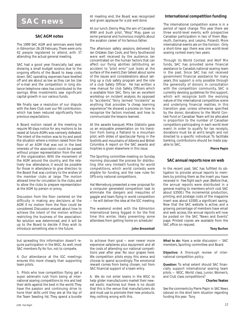# **SAC news**

# **SAC AGM notes**

The 1999 SAC AGM and seminars were held in Edmonton 26-28 February. There were only 42 people registered to attend, with 37 attending the actual general meeting.

SAC had a good year financially last year, showing a small budget surplus due to the ongoing efforts of the Board to keep costs down. SAC operating expenses have levelled off and are about as low as they can be. Use of e-mail and the competition in long distance telephone rates has contributed to the savings. Wise investments saw significant capital growth in our various funds.

We finally saw a resolution of our dispute with the Aero Club over our FAI contribution, which has been reduced significantly from previous expectations.

A Board motion raised at the meeting to require 90 days notice for any motions to be raised at future AGMs was narrowly defeated. The intent of the motion was to try and avoid the situation where a motion raised from the floor of an AGM that was not in the best interests of the association could be passed without proper representation from the rest of the organization. With the movement of the AGM around the country, and the relatively low attendance, it would be possible for those in attendance to give direction to the Board that was contrary to the wishes of the member clubs at large. The motion allowed time for circulation to the clubs, and to allow the clubs to prepare representation at the AGM by person or proxy.

Discussion from the floor centered on the difficulty in making any decisions at the AGM if no motion from the floor could be considered. Discussion ensued about how to achieve the intent of the motion without restricting the business of the association. No solution was determined, and it will be up to the Board to decide if they wish to introduce something else in the future.

but spreading this information doesn't require participation in the WGC. As well, most SAC members fly for fun, not to compete.

4. Our attendance at the IGC meetings ensures this more cheaply than supporting team pilots.

5. Pilots who love competition flying get a super adrenalin rush from being at international soaring competitions to mix and test their skills against the best in the world. They have the passion and continuing drive to hone their skills until they are at the top of the Team Seeding list. They spend a bundle

At meeting end, the Board was recognized and given applause for a job well done.

At our lunch, Denny May, the son of Canadian WWI and bush pilot, "Wop" May, gave us some personal and humorous insights about the aviation career of his famous father.

The afternoon safety sessions, delivered by Ian Oldaker, Dan Cook, and Terry Southwood were well received by the audience. Ian concentrated on the human factors that can affect our flying abilities (attributing an accident to "pilot error" just looks at the surface of the event); Dan talked about some of the issues and considerations about setting up a club safety program and the role of a club Safety Officer. He has written a new manual for club Safety Officers which is available from SAC. Terry ran an excellent workshop on incident analysis. As opposed to "accidents", Terry termed "incidents" as anything that provides "a cheap learning experience". He showed a process on how to recognize the factors involved, and how to communicate the lessons learned.

At the awards banquet, Mike Glatiotis gave us an enjoyable presentation on his transition from being a flatland to a mountain pilot, with slides of spectacular flying in the foothills and mountains of Alberta and British Columbia. A report on the SAC awards and trophies is given elsewhere in this issue.

The Sporting committee meeting on Sunday morning discussed the process for distributing (the very limited!) funding for world competitions, which world contests were eligible for funding, and the new rules for GPS-only national competitions.

Hal Werneburg presented a new proposal for a computer generated competition task to eliminate the dangers and inequities of gaggle and team flying in world competition — he will deliver the idea at the IGC meeting.

The weekend ended with the Edmonton International being fogged in for the first time this winter, likely preventing some attendees from getting home on schedule!

#### **John Broomhall**

to achieve their goal — ever newer more expensive sailplanes plus equipment and all the costs of attending our national competitions year after year. No sour grapes here. We competition pilots enjoy this arena and choose to spend accordingly. The emotional reward comes from being chosen, not from SAC financial support of a team entry.

6. We do not enter teams in the WGC to help glider manufacturers market their newest exotic machines but there is no doubt that this is the venue that manufacturers do and must use to promote their new products. Hey, nothing wrong with this.

# **International competition funding**

The international competition scene is in a period of rapid change. This year there are three world-level events, with prospective Canadian participation in two of them (Bayreuth, Germany, and Leszno, Poland). More international events are on the horizon. Only a short-time ago there was one world-level soaring contest every two years.

Through its World Contest and Wolf Mix funds, SAC has provided some financial assistance to Canada's national soaring team in the past. Since SAC has not received government financial assistance for many years, this support is only possible through the generosity of donors. In consultation with the competition community, SAC is currently devising guidelines for this support, which will recognize both the evolving nature of the international competitive scene and underlying financial realities. In this transition year, unless otherwise specified by the donor, donations to the World Contest Fund or Canadian Team will be allocated in proportion to the number of Canadian competitors participating in each world level event. In order to qualify for tax receipts, donations must be at arm's length and not directed to a specific individual. To facilitate banking, contributions should be made payable to SAC.

**Pierre Pepin**

#### **SAC annual reports now on web**

In the recent past, SAC has fulfilled its obligation to provide annual reports to members by printing them as the insert you have received in *free flight* each year. (Before that, the annual reports were distributed in a general mailing to members which cost SAC about \$3500.) The incremental production, printing, and postage costs of the magazine insert was about \$1000, a significant saving. Now that the SAC website is active, and a growing percentage of members have email and web access, the annual reports will now be posted on the SAC "News and Events" page. Printed copies are available from the SAC office on request.

**Tony Burton**

*What to do:* Have a wide discussion — SAC members, Sporting committee and Board.

*Objective:* A thorough review of international competition policy.

*Question:* To what extent should SAC financially support international soaring team pilots — WGC, World class, Junior, Women's, and Club class competitions?

#### **Charles Yeates**

*See the comments by Pierre Pepin in SAC News (above) on the short term situation regarding funding this year. Tony*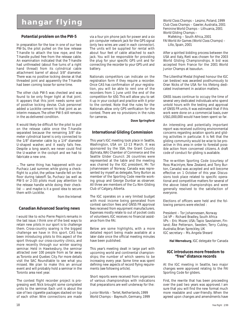# **hangar flying**

# **Potential problem on the PW-5**

In preparation for the tow in one of our two PW-5s, the pilot pulled on the tow release T-handle to attach the tow rope, and the T-handle pulled free from the release cable. An examination indicated that the T-handle had unthreaded (about five turns of a right hand thread) from its cylindrical cable attachment barrel of about 3/8" diameter. There was no positive locking devise at that threaded joint and apparently the T-handle had been coming loose for some time.

The other club PW-5 was checked and was found to be only finger tight at that joint. It appears that this joint needs some sort of positive locking devise. Club personnel added a Locktite cement to that joint as an interim measure. The other PW-5 still remains in the as-delivered condition.

It would likely be difficult for the pilot to pull on the release cable once the T-handle separated because the remaining 3/8" diameter cylindrical barrel is only connected to the 1/8" diameter cable by a 1/4" diameter U-shaped washer, and it easily falls free. Despite a long search, we never could find the U-washer in the cockpit and we had to fabricate a new one.

... The same thing has happened with our Puchacz. Last summer, while giving a checkflight to a pilot, the yellow handle fell on the floor during takeoff. So, Puchacz (as well as PW-5 or 2-33) pilots must pay attention to the release handle while doing their checklist — and maybe is it a good idea to secure them with Locktite.

*from the Internet*

# **Canadian Advanced Soaring news**

I would like to echo Pierre Pepin's remarks in the last issue. I think one of the best ways to retain new pilots in our sport is to challenge them. Cross-country soaring is the biggest challenge we have in this sport. CAS has been introducing pilots to this aspect of the sport through our cross-country clinics, and more recently through our winter soaring seminar. Held in Hawkesbury, the seminar attracted over 100 people from as far away as Toronto and Quebec City. For more details visit the SAC Roundtable to see what you missed. We plan to make this an annual event and will probably hold a seminar in the Toronto area next year.

The contest flight recorder project is progressing well. Nick brought some completed units to the seminar. Each unit is about the size of two cigarette packages stacked on top of each other. Wire connections are made

via a four pin phone jack for power and a six pin computer network jack for the GPS signal (only two wires are used in each connector). The units will be supplied for rental with about four feet of cable attached to each jack. You will be responsible for providing the plug for your specific GPS unit and for connecting the recorder to your GPS unit and battery.

Nationals competitors can indicate on the registration form if they require a recorder. Once CAS has confirmation of your registration, you will be able to rent one of the recorders from 1 June until the end of the competition for \$50. This will allow you to set it up in your cockpit and practice with it prior to the contest. Note that the rules for the Nationals allow only GPS verification for the contest. There are no provisions in the rules for cameras.

**Dave Springford**

# **International Gliding Commission**

This year's IGC meeting took place in Seattle, Washington, USA on 12-13 March. It was sponsored by the SSA, the Grant County (Ephrata, WA) Chamber of Commerce and the Seattle Glider Council. 26 countries were represented at the table and the meeting was chaired by the IGC president, Mr. Tor Johannessen of Norway. Canada was represented by myself as delegate, Tony Burton as member of the Sporting Code rewrite working group and George Dunbar as observer. All three are members of the Cu Nim Gliding Club of Calgary, Alberta.

The IGC operates on a very limited budget with most income being generated from contest sanction fees and GNSS FR approval fees received from equipment manufacturers. Expenses mostly relate to out of pocket costs of volunteers. IGC receives no financial assistance from the FAI.

Below are some highlights, with a more detailed report being made available at a later date once the official meeting minutes have been published.

This year's meeting dealt in large part with upcoming world and continental championships; the number of which seems to be increasing every year. Some time was spent defining new aspects of record flying requirements *(see following article)*.

Short reports were received from organizers of various championships with indications that preparations are well underway for the:

*Junior Worlds* – Terlet, Netherlands, 1999 *World Champs* – Bayreuth, Germany, 1999 *World Class Champs* – Leszno, Poland, 1999 *Club Class Champs* – Gawler, Australia, 2001 *Feminine World Champs* – Lithuania, 2001 *World Gliding Champs* –

Mafeking – South Africa, 2001 *FAI World Air Games (World Class Champs)* – Lillo, Spain, 2001

After a spirited bidding process between the USA and Italy, Rieti was chosen for the 2003 World Gliding Championships. A bid was accepted from France for the 2001 World Junior Champs at Issoudun.

The Lilienthal Medal (highest honour the IGC can bestow) was awarded posthumously to Oran Nicks of the USA for his lifelong dedicated involvement in aviation matters.

GNSS issues continue to occupy the time of several very dedicated individuals who spend untold hours with the testing and approval of GNSS FR units. It was estimated that if this work were done on a commercial basis, over US\$1,000,000 would have been spent so far.

An interesting and potentially important report was received outlining environmental concerns regarding aviation sports and gliding activities in particular. It is felt that the gliding community would be wise to be proactive in this area in order to forestall possible action from concerned citizens. A draft code of conduct for gliding is available.

The re-written Sporting Code (courtesy of Ross Macintyre, New Zealand, and Tony Burton, Canada) was accepted and will become effective on 1 October of this year. Discussions took place related to specific operational and competitive matters for several of the above listed championships and were generally resolved to the satisfaction of everyone.

Elections of officers were held and the following persons were elected :

President – Tor Johannessen, Norway 1st VP – Richard Bradley, South Africa VPs – Eric Mozer, USA; Tapio Savolainen, Finland; Åke Petterson, Sweden; Terry Cubley, Australia; Brian Spreckley, UK IGC secretary – Ms. Angela Sheard

**Hal Werneburg**, IGC delegate for Canada

# **IGC introduces more freedom to "free" distance records**

At the IGC meeting in Seattle, two major changes were approved relating to the FAI Sporting Code for gliders.

First, the rewrite that has been proceeding over the past two years was approved. I am sure that you will find the new format much more readable and user-friendly. When the agreed upon changes and amendments have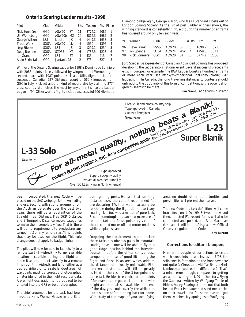# **Ontario Soaring Ladder results - 1998**

| Pilot                                                                                                                      | Club                                                    | Glider                                                                                      |                                         | Flts                              | Tot km                                                        | Pts Place                                           |                                 |
|----------------------------------------------------------------------------------------------------------------------------|---------------------------------------------------------|---------------------------------------------------------------------------------------------|-----------------------------------------|-----------------------------------|---------------------------------------------------------------|-----------------------------------------------------|---------------------------------|
| Nick Bonnière<br><b>Ulli Werneburg</b><br>George Wilson<br><b>Tracie Wark</b><br>Jörg Stieber<br>Doug Bremner<br>lan Grant | GGC<br>GGC<br>LSS<br>SOSA<br><b>SOSA</b><br>SOSA<br>GGC | ASW <sub>20</sub><br>ASW20b<br>Libelle<br>ASW <sub>20</sub><br>I S4<br><b>SZD55</b><br>I S4 | .ST<br>M7<br>JΚ<br>LN<br>JS<br>ХT<br>7T | 11<br>10<br>4<br>4<br>3<br>6<br>4 | 3774.2<br>3814.3<br>1449.3<br>1550<br>1299.1<br>1736.5<br>435 | 2086<br>1987<br>1933<br>1395<br>1234<br>1213<br>413 | 1<br>2<br>3<br>4<br>5<br>6<br>7 |
| Alain Berinstain                                                                                                           | GGC.                                                    | $Jantar/1-36$                                                                               |                                         | 2                                 | 275                                                           | 327                                                 | 8                               |

Winner of the Ontario Soaring Ladder for 1998 is Dominique Bonnière with 2086 points, closely followed by wingmate Ulli Werneburg in second place with 1987 points. Nick and Ulli's flights included a successful Canadian 3TP Distance record of 560 kilometres from GGC in July. Nick set another kind of record also by claiming 3774 cross-country kilometres, the most by any entrant since the Ladder began in '94. Other worthy flights include a successful 500 kilometre

Diamond badge leg by George Wilson, who flies a Standard Libelle out of London Soaring Society. As the list of past Ladder winners shows, the winning standard is consistently high, although the number of entrants has hovered around only ten each year.

| Yr Winner                                                                                 | Club Glider |  | #Flts Km Pts |  |
|-------------------------------------------------------------------------------------------|-------------|--|--------------|--|
| 96 Dave Frank RVSS ASW20 SR 5 1690.9 1573<br>98 Nick Bonnière GGC ASW20 ST 11 3774.2 2086 |             |  |              |  |

Jörg Stieber, past-president of Canadian Advanced Soaring, has proposed developing the Ladder into a national event. Several successful precedents exist in Europe. For example, the BGA Ladder boasts a hundred entrants or more each year (see *http://www.personal.u-net.com/~blotuk/BGA/ ladder.html*). In Canada, the long travelling distances to contests should only add to the popularity of this form of competition, so the potential for growth seems to be there.

**Ian Grant**, Ladder administrator



been incorporated, this new Code will be placed on the SAC webpage for downloading and use. Second, with strong argument from the Austrian delegate over the past two years, there will be a redefinition of the Straight (free) Distance, Free O&R Distance, and 3 Turnpoint Distance record categories to make them completely free. That is, there will be no requirement to predeclare any turnpoint(s) or any remote start/finish points that may be used on the flight. This rule change *does not* apply to badge flights.

The pilot will now be able to launch, fly to a remote start (if wished), fly to any available location accessible during the flight and name it as a turnpoint later, fly to a remote finish point (if wished), and land (either at a desired airfield or to a safe landout area). All waypoints must be correctly photographed or later identified in the flight recorder data. A pre-flight declaration is not required to be entered into the GPS or be photographed.

The chief argument for the task had been made by Hans Werner Grosse in the European gliding press. He said that, on long distance tasks, the current requirement for pre-declaring TPs that would actually be reachable during the flight did not test any soaring skill, but was a matter of pure luck. Secondly, motorgliders can now make use of remote start and finish points by virtue of their recorded motor-off and motor-on times while sailplanes cannot.

Dropping the requirement to pre-declare these tasks has obvious gains in mountain soaring areas — one will be able to fly to a good ridge location behind the intended courseline before the offical start, choose turnpoints in areas of good lift during the flight, and finish in an area which adds to the distance but is locally unlandable. Flatland record attempts will still be greatly assisted in the case of the 3-turnpoint distance task. Besides free choice of turnpoints if, for example, one got back to the club with height and thermals still available at the end of the day, you could overfly the airfield to add distance before turning back for home. With study of the maps of your local flying area, no doubt other opportunities and possibilities will present themselves.

The new Code and task definitions will come into effect on 1 Oct 99. Between now and then, updated FAI record forms will also be completed and posted, and Ross Macintyre (UK) and I will be drafting a new Official Observer's guide to the Code.

**Tony Burton**

# **Corrections to editor's bloopers**

Here are a couple of corrections to errors which crept into recent issues. In 6/98, the sailplanes in formation on the front cover are not quite "a Cirrus sandwich" as 54 is a Mini-Nimbus (can you see the differences?). That's a minor error though, compared to getting an author wrong in 1/99 — the story, *Flying the Gap,* was written by Wolfgang Thiele of Rideau Valley Soaring. It turns out that both he and Frank Pennauer had send me articles on their travels and for some reason I got them switched. My apologies to Wolfgang.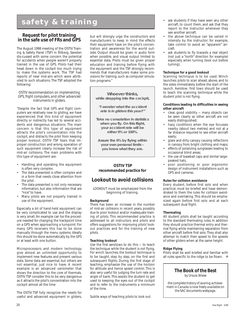# **safety & training**

# **Request for pilot training in the safe use of FRs and GPS**

The August 1998 meeting of the OSTIV Training & Safety Panel (TSP) in Ållberg, Sweden dis-cussed with some concern the potential for accidents when people weren't properly trained in the use of GPS. Pilots had their head down in the cockpit too much trying to make the systems work. The TSP had reports of near mid-airs which were attributed to such situations. The TSP adopted the following:

## *OSTIV recommendation on implementing GPS, flight computers, and other advanced instruments in gliders.*

"Despite the fact that GPS and flight computers are relatively new to gliding, we have experienced that this kind of equipment directly or indirectly has led to several accidents and dangerous situations. The main concern is that this type of equipment attracts the pilot's concentration into the cockpit, and distracts the pilot from keeping proper lookout. OSTIV TSP fears that improper construction and wrong operation of such equipment clearly increase the risk of mid-air collisions. The main problems with this type of equipment are:

- Handling and operating the equipment is often very complex.
- The data presented is often complex and in a form that needs close attention from the pilot.
- The data presented is not only necessary information, but also information that are "nice" to have.
- Many pilots are not properly trained in use of the equipment.

Especially a lot of hand-held equipment can be very complicated to use and the display is very small. An example can be the procedure needed for changing the trackpoint time on a GPS when approaching a turnpoint. For many GPS receivers this has to be done manually through the menu systems. Ideally this should be done automatically by the GPS or at least with one button.

Microprocessors and modern technology give almost an unlimited opportunity to implement new features and present various data. Some data are essential, but others are not essential, just nice to have. A recent example is an advanced variometer that shows the direction to the core of thermals. OSTIV TSP consider this to be very dangerous as it attracts the pilot's concentration into the cockpit almost all the time

The OSTIV TSP fully recognize the needs for useful and advanced equipment in gliders, but will strongly urge the constructors and manufacturers to keep in mind the effects their equipment have on the pilot's concentration and awareness for the world outside. Output should be given in audio form when possible, and visual output limited to essential data. Pilots must be given proper education and training before flying with the equipment and the TSP strongly recommends that manufacturers make some provisions for training, such as computer simulation programs."

**Whoever thinks, while strapping into the cockpit,**

**"I wonder what the accident rate is in gliders this year?"**

**Take no consolation in statistics when you fly. On this flight, your accident rate will be either 0% or 100%.**

**Assure the 0% by flying within your own personal limits – you know what they are.**

# **OSTIV TSP recommended practice for**

# **Lookout to avoid collisions**

LOOKOUT must be emphasized from the beginning of training.

# **Background**

There has been an increase in the number of mid-air collisions in recent years, possibly due to poor lookout and/or inadequate training of pilots. This recommended practice is addressed to all instructors and pilots and offers suggestions for improving pilots' lookout practices and for the training of new pilots.

# **Teaching lookout**

Use the first aerotows to do this — to teach the technique while the student is not flying. For winch launches, the lookout technique is to be taught, step by step, on the first and subsequent flights. During the first stage of teaching, emphasize the use of the horizon for attitude and hence speed control. This is also very useful for judging the turn rate and angle of bank. This assists the student to get used to keeping the eyes out of the cockpit and to refer to the instruments a minimum of the time.

Subtle ways of teaching pilots to look out:

- ask students if they have seen any other aircraft, to count them, and ask that they report to the instructor whenever they see another aircraft.
- the above technique can be varied in intensity by the instructor; for example, take control to avoid an "apparent" aircraft.
- ask students to fly towards a real object (not just a "north" direction for example) especially when turning (look out before turning).

## **Technique for a good lookout**

Scanning technique is to be used. Winch launches: pilots to scan ahead, above, and to the sides immediately before the start of the launch. Aerotow: first tows should be used to teach the scanning technique while the student pilot is not flying.

#### **Conditions leading to difficulties in seeing other aircraft**

- clear, good visibility many objects can be seen clearly so other aircraft are not easily distinguished;
- hazy conditions when the eye focusses nearby (about two metres) and not at a far distance required to see other aircraft easily;
- glare and dirty canopy causing reflections in canopy from bright clothing and maps;
- effects of polarizing sunglasses leading to occasional blind areas;
- the use of baseball caps and similar largepeaked hats,
- poor positioning or poor ergonomic design of instrument installations such as GPS and cameras.

#### **Rules for collision avoidance**

Every student, before first solo and when practical, must be briefed and have demonstrated to them the rules for collision avoidance and overtaking. This should be emphasized again before first solo and at each subsequent dual flight.

# **Thermaling**

All student pilots shall be taught according to the standard thermaling rules. In addition they should practice thermal entry and thermal flying while maintaining separation from other aircraft before first solo. They shall also attempt to match their speed to the speeds of other gliders when at the same height.

# **Ridge Flying**

Pilots shall be well briefed and familiar with all rules specific to the ridge to be flown. ❖



*by Ursula Wiese*

*the complete history of soaring achievement in Canada is now freely available on the SAC documents webpage.*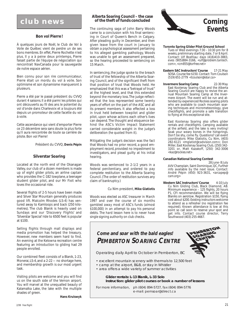# **club news**

# **Bon vol Pierre !**

À quelques jours de Noël, le Club de Vol à Voile de Québec vient de perdre un de ses bons membres. En effet, Pierre Rochette n'est plus. Il y a à peine deux printemps, Pierre faisait partie de l'équipe de négociation qui rencontrait NavCanada pour la sauvegarde de notre espace aérien.

Bien connu pour son rire communicateur, Pierre était un mordu du vol à voile. Son optimisme et son dynamisme manqueront à plusieurs.

Pierre a été par le passé président du CVVQ durant 4 saisons. Il a été parmi les pilotes qui ont découverts au fil des ans le potentiel du vol d'onde dans Charlevoix et a toujours été depuis un promoteur de cette facette du vol à voile.

Cette ascendance qui vient d'emporter Pierre ce 23 décembre sera sans doute la plus forte qu'il aura rencontrée de toute sa carrière de pilote. Bon vol Pierre!

Président du CVVQ, **Denis Pépin**

# **Silverstar Soaring**

Located at the north end of the Okanagan Valley, our club of a dozen members is made up of eight glider pilots, an airline captain who provides the C-182 towplane, a teenager student glider pilot, and our Mr Fixit who loves the occasional ride.

Several flights of 2-5 hours have been made and Silver Star Mountain generally produces good lift. Malcolm Rhodes (LS-4) has ventured away to Kamloops and back (250 kilometres). The club Blanik is heavily used on Sundays and our 'Discovery Flights' and 'Silverstar Special' ride to 6500 feet is popular at \$100.

Selling flights through mall displays and media promotion has helped the treasury. However, new members seem hard to find. An evening at the Kelowna recreation centre featuring an introduction to gliding had 29 people enrolled.

Our combined fleet consists of a Blanik, 1-23, Monerai, LS-4, and a 2-22 — no shortage here, and membership growth is our most urgent task.

Visiting pilots are welcome and you will find us on the south side of the Vernon airport. You will marvel at the unequalled beauty of Kalamalka Lake, the lake with the multiple shades of green.

**Hans Kruiswyk**

# **Alberta Soaring Council – the case of the theft of funds concluded**

The continuing saga of John Barry Woods came to a conclusion with his final sentencing in Court of Queen's Bench in Calgary. After pleading guilty in December, and then given leave from the court in January to obtain a psychological assessment pertaining to his alleged gambling pathology, Woods was unable to get an assessment prepared, so the hearing proceeded to sentencing on 15 March.

In sentencing, the judge spoke to the breach of trust of the fellowship of the Alberta Soaring Council, and of the significant theft from that position of trust that Woods held. He emphasized that this was a "betrayal of trust" at the highest level, and that this extended beyond the monetary loss. The judge reflected that the loss represented some twenty years of effort on the part of the ASC and all its present members. It also effected a loss in trust held between towpilot and glider pilot, upon whose actions each other's lives can depend. The thought and eloquence behind the ASC's Victim Impact Statement carried considerable weight in the judge's deliberation (he quoted from it).

Mitigating the judge's decision was the fact that Woods had no prior record, a good employment record, provided no impediment to investigators, and plead guilty at his initial hearing.

Woods was sentenced to 2-1/2 years in a federal penitentiary, and ordered to pay complete restitution to the Alberta Soaring Council. (The order of restitution survives any claim of bankruptcy.)

# Cu Nim president, **Mike Glatiotis**

*Woods was elected as ASC treasurer in March 1997 and over the course of six months gambled away most of ASC's funds (almost \$100,000) in an attempt to pay his personal debts. The hard lesson here is to never have single signing authority on club checks.*



#### **Toronto Spring Glider Pilot Ground School** Tues or Wed evenings 7:30 - 10:30 pm for 8 weeks, preliminary starting date, 7 or 8 April. Contact: Ulf Boehlau: days (416)410-3883, eves (905)884-3166, *<ulf@problem.tantech. com>, <cm855@torfree.net>*

- **Eastern SAC Instructors' Course** 17-21 May SOSA. Course fee \$150. Contact: Tom Coulson (519) 651-2779 *<tcoulson@istar.ca>*
- **Invermere Soaring Camp** 22-30 May East Kootenay Soaring Club and the Alberta Soaring Council are happy to revive the annual Mountain Soaring Camp at the Invermere Airport. The event will be run and attended by experienced Rockies soaring pilots who are available to coach mountain soaring techniques and micrometeorology, give checkflights, and promote a safe transition to flying at this exceptional site.

East Kootenay Soaring also offers glider rentals and checkflights. Camping available at the airfield, and the lake is very inviting! Soak your weary bones in the hotsprings. Don't be shy, come fly. Questions? call event coordinators: Mike Glatiotis, Cu Nim, (403) 282-6121 *<mglatiot@cadvision.com>*; Don Miller, East Kootenay Soaring Club, (250) 342- 3201 or, Matt Kazakoff, (250) 342-3006 <*kaz@rockies.net>*

# **Canadian National Soaring Contest**

28 June- 8 July AVV Champlain, Saint Dominique, QC. Further info available by the next issue. Contact: André Pépin (450) 923-3631, *<arcapep@ cam.org>*

Western SAC Instructors' Course 4-10 July Cu Nim Gliding Club, Black Diamond, AB. Minimum experience – 125 flights, 20 hours P1, CFI recommendation. We will be flying Blaniks on aerotow. Registration \$150, flying cost about \$200. Existing instructors welcome to attend as a refresher (no registration fee required). Known attendance is low at this point so call soon to reserve your spot and get info. Contact course director, Terry Southwood (403) 255-4667.

# **Come and soar with the bald eagles! PEMBERTON SOARING CENTRE**

Operating daily April to October in Pemberton, BC

• excellent mountain scenery with thermals to 12,500 feet

- camp at the airport, B&B, or stay in Whistler
- area offers a wide variety of summer activities

# **Glider rentals: L-13 Blanik, L-33 Solo Instruction: glider pilot courses or book a number of lessons**

For more information, ph (604) 894-5727, fax (604) 894-5776 e-mail: pemsoar@direct.ca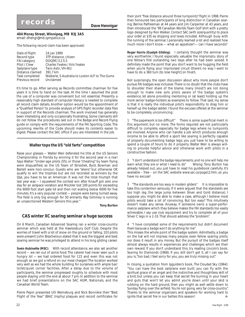**404 Moray Street, Winnipeg, MB R3J 3A5** email: *dhengr@mb.sympatico.ca*

The following record claim has been approved:

| Date of flight      | 24 Jan 1999                                     |
|---------------------|-------------------------------------------------|
| Record type         | 3TP distance, citizen                           |
| <b>FAI</b> category | DOG[M] 3.2.5.5                                  |
| Pilot / Crew        | <b>Charles Yeates / Kris Yeates</b>             |
| Sailplane type      | Twin Astir, VH-IKU                              |
| Distance claimed    | 391.7 km                                        |
| Task completed      | Waikerie, S Australia to Loxton A/F to The Gums |
| Previous record     | Unclaimed                                       |

It's time to go. After serving as Records committee chairman for five years it is time to hand on the task. At the time I assumed the post the use of a computer was convenient but not essential. Presently a reasonably high standard of computer literacy is needed to complete all record claim details. Another option would be the appointment of a "Qualified Person" to provide analysis of GPS flight recorder data files in support of the Records chairman. The work involved has generally been interesting and only occasionally frustrating. Some claimants still do not follow the procedures laid out in the *Badge and Record Flying* guide or comply with the requirements of the FAI Sporting Code. The upcoming rewrite of the Code should make its contents easier to digest. Please contact the SAC office if you are interested in the job.

# **Walter tops the US "old farts" competition**

Raise your glasses — Walter Weir defended his title at the US Seniors Championship in Florida by winning it for the second year in a row! Says Walter: "Under-age pilots (55), or those "cheating" by team flying were disqualified, so the US Team of Striediek, Byrd, Bowman and Bartell were *hors concour*. Guests who are "aliens" but otherwise OK qualify to win the trophies but are not recorded as winners by the SSA; you have to be an American. It was not the total triumph that last year was — I squeeked the contest win after Knauff got zero one day for an airspace violation and Mockler lost 100 points for exceeding the 6000 foot start gate lid and then not waiting below 6000 for five minutes. It's a very popular contest — people were being turned away. The field is only big enough for 50 entrants. Ray Gimmey is running an unsanctioned Western Seniors this year."

#### **Tony Burton**

# **CAS winter XC soaring seminar a huge success**

On 6 March, Canadian Advanced Soaring ran a winter cross-country seminar which was held at the Hawkesbury Golf Club. Despite the worries of travel with a lot of snow on the ground or falling, 103 pilots were present! John Bisscheroux stated that it was the biggest and best soaring seminar he was privileged to attend in his long gliding career.

*Svein Hubinette (MSC):* With record attendance, we also set another record — we ran out of some food. The caterer had never seen such a hungry lot — we had ordered food for 115 and even this was not enough so we got a refund on our meal charges! The location worked very well as we had the whole building for ourselves with ample bar/ toilet/quiet corner facilities. After a delay due to the volume of participants, the seminar progressed roughly to schedule with most people staying until the end at about 7 pm. In addition to the seminar we had brief presentations on the SAC AGM, Nationals, and the Canadian World Team.

Pierre Pepin presented Ulli Werneburg and Nick Bonnière their "Best Flight of the Year" (BAIC trophy) plaques and record certificates for their joint "free distance around three turnpoints" flight in 1998. Pierre then honoured two participants of long distinction in Canadian soaring: Bernie Palfreeman at 44 years and Jim Carpenter at 43 years, and then introduced the '99 Canadian Worlds Team Golf shirt with a pretty logo designed by Ron Walker. *Contact SAC (with size/quantity) to place your order at \$35 ea shipping and taxes included.* Although busy with the running of the seminar, I personally learned a lot and realized how much more I don't know — what an appetizer! — can I have seconds?

*Roger Harris (Guelph Gliding):* I certainly thought the seminar was very worthwhile. I found especially valuable the impromptu story of one fellow's first outlanding, two days after he had been soloed. It definitely made the point that you don't want to be hugging the field when you're flying your improvised circuit (there's no way I want to have to do a 360 turn [to lose height] on final!).

Not surprisingly, the open discussion about why more people don't pursue FAI badges was inclusive. There is no doubt that the clubs have to shoulder their share of the blame; many (most?) are not doing enough to make new solo pilots aware of the badge system's existence, let alone providing mentoring or (at least) holding up the more senior badge-holders as examples to follow. That said, my sense is that it is really the individual pilot's responsibility to drag him or herself up the badge ladder. I found the excuses offered at the seminar to be completely unconvincing:

1 *"The paperwork is too difficult"* There is some superficial merit in this argument, but no more. The forms required are not particularly difficult to complete, especially for badge legs where no turnpoints are involved. Anyone who can handle a job which produces enough income to be able to afford a sport like soaring is perfectly capable of properly documenting badge legs; you just have to be willing to spend a couple of hours to do it properly. Walter Weir is always willing to provide helpful advice and otherwise work with pilots in a constructive fashion.

2 *"I don't understand the badge requirements, and no one will help me learn what they are or what I need to do"* Wrong: Tony Burton has already helped out, you just have to read his guidebook carefully. It's available – free – on the SAC website *www.sac.ca/page12.htm*, so you have no excuse!

3 *"The standards are too easy in modern gliders"* It is impossible to take this contention seriously. If it were argued that the standards are too high (eg. the large jump between Silver and Gold distance), I suppose you might be able to make a case, although I believe most pilots would take a lot of convincing. But too easy? This intuitively doesn't make any sense. Anyway, if someone owns a super-performance sailplane which they believe makes the FAI standards too easily achievable, I say use club equipment and try to complete all of your Silver C legs in a 2-33. That should address the "problem".

4 *"I have completed some of the requirements but didn't document them because a badge won't do anything for me"*

This misses the whole point of the badge system. Admittedly, a badge on the hat will not impress many people, even fellow soaring pilots; nor does it result in any money. But the pursuit of the badges itself almost always results in experiences and challenges which are their own reward. If you don't understand this, try reading Lincoln's book, *Soaring for Diamonds* (1968). If you still don't get it, all I can say for you is, "too bad, I feel sorry for you, you are truly missing out".

In closing, a quotation from Iggulden's book, *The Clouded Sky* (1964): "You can have the best sailplane ever built; you can fly with the spiritual grace of an angel and the instinctive and thoughtless skill of a bird; but unless you can keep that secret fire burning in your heart and guts that won't let you admit you're down until your skid is rubbing on the hard ground, then you might as well settle down to Sunday flying over the airfield. You're not going very far cross-country". Thanks to the seminar organizers and speakers for working hard to ignite that secret fire in our bellies this season! ❖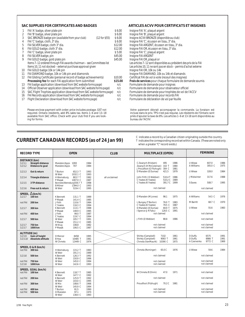#### **SAC SUPPLIES FOR CERTIFICATES AND BADGES ARTICLES ACVV POUR CERTIFICATS ET INSIGNES**

|                 | FAI 'A' badge, silver plate pin                                        | \$6.00  | Insigne FAI 'A', plaqué argent                                      |
|-----------------|------------------------------------------------------------------------|---------|---------------------------------------------------------------------|
| 2               | FAI 'B' badge, silver plate pin                                        | \$6.00  | Insigne FAI 'B', plaqué argent                                      |
| 3               | SAC BRONZE badge pin (available from your club)<br>$(12$ for \$55)     | \$6.00  | Insigne ACVV BRONZE (disponible au club)                            |
| 4               | FAI 'C' badge, cloth, 3" dia.                                          | \$6.00  | Insigne FAI 'C', écusson en tissu, 3" dia.                          |
| 5               | FAI SILVER badge, cloth 3" dia.                                        | \$12.00 | Insigne FAI ARGENT, écusson en tissu, 3" dia.                       |
| 6               | FAI GOLD badge, cloth 3" dia.                                          | \$12.00 | Insigne FAI OR, écusson en tissu, 3" dia.                           |
|                 | FAI 'C' badge, silver plate pin                                        | \$5.00  | Insigne FAI 'C', plaqué argent                                      |
| 8               | FAI SILVER badge, pin                                                  | \$45.00 | Insigne FAI ARGENT                                                  |
| 9               | FAI GOLD badge, gold plate pin                                         | \$45.00 | Insigne FAI OR, plaqué or                                           |
|                 | Items 7-12 ordered through FAI awards chairman - see Committees list   |         | Les articles 7-12 sont disponibles au président des prix de la FAI  |
|                 | Items 10, 11 not stocked – external purchase approval given            |         | Les articles 10, 11 ne sont pas en stock – permis d'achat externe   |
| 10 <sup>°</sup> | FAI GOLD badge 10k or 14k pin                                          |         | Insigne FAI OR, 10k ou 14k                                          |
| 11              | FAI DIAMOND badge, 10k or 14k pin and diamonds                         |         | Insigne FAI DIAMAND, 10k ou 14k et diamands                         |
| 12              | FAI Gliding Certificate (personal record of badge achievements)        | \$10.00 | Certificat FAI de vol à voile (receuil des insignes)                |
|                 | <b>Processing fee for each FAI application form submitted</b>          | \$15.00 | Frais de services pour chaque formulaire de demande soumis          |
| 13              | FAI badge application (download from SAC website forms page)           | n/c     | Formulaire de demande pour insignes                                 |
| 14              | Official Observer application (download from SAC website forms page)   | n/c     | Formulaire de demande pour observateur officiel                     |
| 15              | SAC Flight Trophies application (download from SAC website forms page) | n/c     | Formulaire de demande pour trophées de vol de l'ACCV                |
| 16              | FAI Records application (download from SAC website forms page)         | n/c     | Formulaire de demande pour records FAI                              |
| 17              | Flight Declaration (download from SAC website forms page)              | n/c     | Formulaire de déclaration de vol par feuille                        |
|                 | Please enclose payment with order; price includes postage. GST not     |         | Votre paiement dévrait accompagner la commande. La livra            |
|                 | required. Ontario residents, add 8% sales tax. Items 1–6 and 13–18     |         | incluse dans le prix. TPS n'est pas requise. Les résidents de l'Ont |

required. Ontario residents, add 8% sales tax. Items 1–6 and 13–18 available from SAC office. Check with your club first if you are looking for forms.

| Insigne FAI 'A', plaqué argent                                     |
|--------------------------------------------------------------------|
| Insigne FAI 'B', plaqué argent                                     |
| Insigne ACVV BRONZE (disponible au club)                           |
| Insigne FAI 'C', écusson en tissu, 3" dia.                         |
| Insigne FAI ARGENT, écusson en tissu, 3" dia.                      |
| Insigne FAI OR, écusson en tissu, 3" dia.                          |
| Insigne FAI 'C', plaqué argent                                     |
| Insigne FAI ARGENT                                                 |
| Insigne FAI OR, plaqué or                                          |
| Les articles 7-12 sont disponibles au président des prix de la FAI |
| Les articles 10, 11 ne sont pas en stock - permis d'achat externe  |
| Insigne FAI OR, 10k ou 14k                                         |
| Insigne FAI DIAMAND, 10k ou 14k et diamands                        |
| Certificat FAI de vol à voile (receuil des insignes)               |
| Frais de services pour chaque formulaire de demande soumis         |
| Formulaire de demande pour insignes                                |
| Formulaire de demande pour observateur officiel                    |
| Formulaire de demande pour trophées de vol de l'ACCV               |
| Formulaire de demande pour records FAI                             |
| Formulaire de déclaration de vol par feuille                       |
|                                                                    |

Votre paiement dévrait accompagner la commande. La livraison est incluse dans le prix. TPS n'est pas requise. Les résidents de l'Ontario sont priés d'ajouter la taxe de 8%. Les articles 1–6 et 13-18 sont disponibles au bureau de l'ACVV.

# **CURRENT CANADIAN RECORDS (as of 24 Jan 99)**

C indicates a record by a Canadian citizen originating outside the country. T indicates the corresponding record set within Canada. (These are noted only

when a greater "C" record exists.)

| <b>RECORD TYPE</b>                                                                                                                                                                                                       | <b>OPEN</b>                                                                                                                                                                                                                                                                                                                                                                  | <b>CLUB</b>   | <b>MULTIPLACE (OPEN)</b>                                                                                                                                                                                                                                                                                     | <b>FEMININE</b>                                                                                                                                                  |
|--------------------------------------------------------------------------------------------------------------------------------------------------------------------------------------------------------------------------|------------------------------------------------------------------------------------------------------------------------------------------------------------------------------------------------------------------------------------------------------------------------------------------------------------------------------------------------------------------------------|---------------|--------------------------------------------------------------------------------------------------------------------------------------------------------------------------------------------------------------------------------------------------------------------------------------------------------------|------------------------------------------------------------------------------------------------------------------------------------------------------------------|
| <b>DISTANCE (km)</b><br><b>Straight distance</b><br>3.2.5.1<br>Distance to goal<br>3.2.5.2<br>3.2.5.3<br>Out & return<br>3.2.5.4<br><b>Triangle distance</b><br>3.2.5.5<br>3 TP distance<br>3.2.5.6<br>Free out & return | Marsden/Apps<br>1984<br>1093<br>Marsden/Apps<br>707<br>1984<br>652.3 T<br>1993<br>T Burton<br>W Weir<br>1032.1 C<br>1993<br>803.7 T<br>H Werneburg<br>1982<br>1007.0 C<br>1987<br>P Masak<br>Bonnière/Werneburg559.7 T<br>1998<br>1993<br><b>B</b> Milner<br>1394.0 C<br>1995<br>W Weir<br>519.4 C                                                                           | all unclaimed | 495<br>C Zwarych (R Adam)<br>1986<br>310 T<br>1984<br>Zwarych (H McColeman)<br>J Proudfoot (G Fitzhugh)<br>304 C<br>1981<br>D Marsden (E Dumas)<br>1979<br>421.5<br>John Firth (D Webber)<br>1986<br>510.4 T<br>1989<br>C Yeates (K Yeates)<br>510.2 C<br>391.7 C 1999<br>C Yeates (K Yeates)<br>not claimed | U Wiese<br>607.0<br>1986<br>305.0 C<br>A Williams<br>1975<br>U Wiese<br>328.0<br>1984<br>J Midwinter<br>317.6<br>1988<br>S Eaves<br>508.7<br>1995<br>not claimed |
| SPEED, $\Delta$ (km/h)<br>3.2.5.7<br>100 km<br>not FAI<br>200 km<br>3.2.5.7<br>300 km<br>not FAI<br>400 km<br>3.2.5.7<br>500 km<br>3.2.5.7<br>750 km<br>3.2.5.7<br>1000 km                                               | 1989<br>K Bennett<br>131.1 T<br>P Masak<br>141.4 C<br>1985<br>J Firth<br>110.6 T<br>1984<br>1994<br>116.3 C<br>C Yeates<br>1988<br><b>K</b> Bennett<br>113.1 T<br>P Masak<br>148.9 C<br>1985<br>99.0 T<br>1987<br>J Firth<br>C Yeates<br>119.7 C<br>1994<br>W Weir<br>1991<br>105.7 T<br>151.2 C<br>1985<br>P Masak<br>108.8<br>1982<br>W Krug<br>106.5 C<br>1987<br>P Masak |               | 98.1<br>1975<br>D Marsden (M Jones)<br>L Bungey (T Burton)<br>76.0 T<br>1983<br>C Yeates (K Yeates)<br>79.5 C<br>1987<br>D Marsden (E Dumas)<br>69.9 T<br>1975<br>I Spence (J-R Faliu)<br>128.5 C<br>1991<br>not claimed<br>J Firth (D Webber)<br>88.8<br>1986<br>not claimed<br>not claimed                 | A Williams<br>54.5 C<br>1976<br>1970<br>M Barritt<br>68.7 C<br>U Wiese<br>55.6<br>1983<br>not claimed<br>not claimed<br>not claimed<br>not claimed               |
| ALTITUDE (m)<br>3.2.5.9<br>Gain of height<br>3.2.5.10<br>Absolute altitude                                                                                                                                               | 1995<br>D Mercer<br>8458<br><b>B</b> Hea<br>10485 T<br>1981<br>W Chmela<br>12449 C<br>1974                                                                                                                                                                                                                                                                                   |               | Shirley (Campbell)<br>7102<br>1961<br>9083 T<br>Shirley (Campbell)<br>1961<br>10390 C<br>1975<br>Chmela (VanMaurik)                                                                                                                                                                                          | D Duffy<br>6575<br>1991<br>D Duffy<br>8986 T<br>1991<br>A Czervenka<br>9772 C<br>1969                                                                            |
| SPEED, O & R (km/h)<br>300 km<br>not FAI<br>3.2.5.8<br>500 km<br>750 km<br>not FAI<br>1000 km<br>3.2.5.8                                                                                                                 | 115.2 T<br>1983<br>H Werneburg<br>191.3 C<br>1989<br>W Weir<br>1992<br>K Bennett<br>126.3 T<br>W Weir<br>150.9 C<br>1996<br>W Weir<br>145.0 C<br>1994<br>W Weir<br>142.6 C<br>1993                                                                                                                                                                                           |               | Chmela (Rominger)<br>65.0 C<br>1976<br>not claimed<br>not claimed<br>not claimed                                                                                                                                                                                                                             | U Wiese<br>59.6<br>1984<br>not claimed<br>not claimed<br>not claimed                                                                                             |
| SPEED, GOAL (km/h)<br>not FAI 100 km<br>200 km<br>not FAI<br>not FAI<br>300 km<br>not FAI<br>400 km<br>not FAI<br>500 km                                                                                                 | K Bennett<br>118.7 T<br>1985<br>W Weir<br>147.7 C<br>1992<br>125.9 T<br>1992<br>K Bennett<br>143.0 C<br>1995<br>W Weir<br>W Mix<br>108.6 T<br>1966<br>145.9 C<br>1994<br>W Weir<br>1990<br>81.5<br>T Burton<br>97.1<br>1970<br>D Marsden<br>1993<br>W Weir<br>138.4 C                                                                                                        |               | W Chmela (R Zimm)<br>47.0<br>1971<br>not claimed<br>Proudfoot (Fitzhugh)<br>1981<br>70.2 C<br>not claimed<br>not claimed                                                                                                                                                                                     | not claimed<br>not claimed<br>not claimed<br>not claimed<br>not claimed                                                                                          |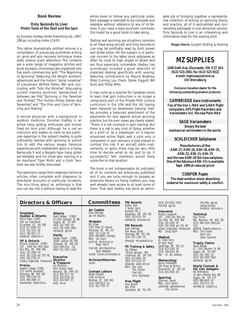# **Book Review**

# *Only Seconds to Live: Pilots' Tales of the Stall and the Spin*

*by Dunstan Hadley, Airlife Publishing Ltd., 1997, 208 pp. including index. £19.95*

This rather dramatically entitled volume is a compilation of previously-published writing on spins and spin recovery technique (mere stalls receive scant attention). The contents are a wide range of magazine articles and book excerpts, chronologically organized into five parts commencing with "The Beginning of Spinning" (featuring the Wright brothers' adventures and the historic "spiral nosedive" of Lieutenant Wilfred Parke, RN) and concluding with "Into the Nineties" (discussing current training doctrine). Sandwiched in between, we find "Spinning in the Twenties and Thirties", "The Forties, Fifties, Sixties and Seventies" and "The Pros and Cons of Spinning and Stalling".

A retired physician with a background in aviation medicine, Dunstan Hadley is an active hang gliding enthusiast and former Fleet Air Arm pilot. Although he is not an instructor and makes no claim to any particular expertise in the subject, Hadley is quite sufficiently familiar with spinning to permit him to edit the various essays. Personal experiences with inadvertent spins in a Fairey Barracuda II and a Rogallo-type hang glider are detailed, and his initial spin training in a de Havilland Tiger Moth and a Grob Twin Astir are also briefly discussed.

The selections range from relatively technical articles, often complete with diagrams, to anecdotal accounts of particular incidents. The nice thing about an anthology is that one can dip into it without having to read the entire book or follow any particular order. Each passage is intended to be complete and readable without reference to any of its fellows. If you have a daily bus/train commute, this might be a good book to take along.

Stalling and spinning are situations common to all fixed-wing aircraft, and *Only Seconds to Live* may be profitably read by both power and glider pilots. Yet the subject is of particular concern to the latter, since sailplanes so often fly close to high angles of attack and are thus especially vulnerable. Hadley has accordingly included a good selection of materials dealing specifically with soaring, featuring contributions by Maurie Bradney, Mike Cuming, Lou Frank, Derek Piggott, Bill Scull, and Philip Wills.

It may come as a surprise for Canadian pilots to learn that spin instruction is no longer a compulsory part of the Private Pilot Licence curriculum in the USA and the UK, having been replaced by 'awareness training'. Hadley provides a balanced assortment of the arguments for and against actual spinning practice, but his own views are clearly stated: "There is a risk involved in spin training. But there is a risk in any kind of flying, whether as a pilot or as a passenger on a regular scheduled airline flight, and a pilot who is competent in spin recovery is best placed to combat this risk. If an aircraft stalls inadvertently, or spins, there may be very little time to decide what to do and to do it successfully". SAC members would likely subscribe to that position.

The book is not indispensable. As indicated, all of its contents are previously published and, if you are lucky enough to possess an extensive library on flying matters, you may well already have access to at least some of them. That said, Hadley has done an admir-

able job of bringing together a representative collection of writing on spinning theory and practice, all of it well-edited and conveniently packaged in one attractive volume. *Only Seconds to Live* is an interesting and informative read for the soaring pilot.

**Roger Harris**, Guelph Gliding & Soaring

# *MZ SUPPLIES*

**1450 Goth Ave, Gloucester, ON K1T 1E4 (613) 523-2581, fax (613) 523-9322 e-mail:** *mgmzaqua@cmw.ca* **Ulli Werneburg**

**Exclusive Canadian dealer for the following outstanding aviation products:**

**CAMBRIDGE Aero Instruments Top of the line L-NAV and S-NAV flight computers, GPS Flight Recorders and Variometers incl. the new Palm NAV**

**SAGE Variometers Simply the best mechanical variometers in the world.**

# **SCHLEICHER Sailplanes**

**Manufacturers of the: ASW-27, ASW-24, ASH-26, ASH-25, ASW-22, ASK-21, ASK-23 and the new ASW-28 Std class sailplane. One of the fabulous ASW-27s is available Sept. 1999 at reduced price!**

**CONFOR Foam The ideal aviation shock absorbing material for maximum safety & comfort.**

# **Directors & Officers | Committees FAI Awards**

# **President, Quebec & Atlantic** Pierre Pepin (1999) 590 rue Townshend St-Lambert, QC J4R 1M5 (514) 671-6594 (H) (514) 761-7015 (B) (514) 768-3637 (F) prpepin@videotron.ca

**VP & Ontario** Richard Longhurst (1999) 100 - 1446 Don Mills Road Don Mills, ON M3B 3N6 (416) 391-2900 (H) (416) 391-3100 ext 250 (B) (416) 391-2748 (F) richard\_longhurst@mintzca.com **Director**

#### **Prairie**

Howard Loewen (1998) 233 Lamont Boulevard Winnipeg, MB R3P 0E8 (204) 489-1148 (H) (204) 489-3086 (F) loewenhw@mbnet.mb.ca

# David McAsey (1998) 47-2300 Oakmoor Dr SW Calgary, AB T2V 4N7 (403) 281-7962 (H) (403) 281-0589 (B&F) mprsoar@agt.net

**Alberta**

**Pacific**<br>Harald Tilgner (1998)<br>50090 Lookout Rd, RR2<br>Chilliwack, BC V4Z 1A5<br>(604) 858-4312 (H)<br>(604) 521-5501 (club)

**Executive & Treasurer** Jim McCollum 6507 Bunker Road Manotick, ON K4M 1B3 (613) 692-2227 (H) (613) 829-0536 (B)  $(613)$  829-9497 (F) sac@sac.ca

# **Committees**

**Air Cadets** Dave Hennigar see FAI Records

# **Airspace** Bill Green

2181 West 22 Avenue Vancouver, BC V6L 1L4 (604) 737-1136 (H) (604) 886-8981 (cottage) Mbrs: Ian Grant grant.i@atomcon.gc.ca<br>Roger Harris rharris@petrillobujold.ca Scott McMaster scott@mcmail.cis.mcmaster.ca

**Archives/Historian** vacant

**Contest Letters** Robert Binette 5140 St-Patrick Montreal, QC H4E 4N5 (514) 849-5910 (H) (514) 362-7365 (F)

Walter Weir 3 Sumac Court, Burketon RR 2, Blackstock, ON L0B 1B0 (905) 263-4374 (H) waltweir@inforamp.net

# **FAI Records** Dave Hennigar 404 Moray Street Winnipeg, MB R3J 3A5 (204) 837-1585 (H) dhengr@mb.sympatico.ca

# **Flt Training & Safety** Ian Oldaker, "Willow Spinney", RR1 Limehouse, ON L0P 1H0 (905) 873-6081 (H) (905) 873-0110 (F) oldaker@aztec-net.com Mbrs: Dan Cook Tom Coulson Fred Kisil Terry Southwood

**Free Flight** Tony Burton Box 1916 Claresholm, AB T0L 0T0 (403) 625-4563 (H&F) free-flt@agt.net

# **Insurance** Richard Longhurst 100 - 1446 Don Mills Rd Don Mills, ON M3B 3N6 (416) 391-2900 (H) (416) 391-3100 ext 250 (B) richard\_longhurst@mintzca.com Mbr: Doug Eaton

**Medical** Dr. Peter Perry 64 Blair Road Cambridge, ON N1S 2J1 (519) 623-1092 (H) (519) 740-6547 (B) Mbr: Dr. WL Delaney

**Meteorology** Bernie Palfreeman 266 Place de Brullon Boucherville, QC J4B 2J9 (514) 655-5935 (H)

# **Sporting**

Chairman: vacant<br>Mbrs: Colin Bantin ccbantin@globalserve.net Tony Burton free-flt@agt.net George Dunbar dunbar@calcna.ab.ca

**Technical**

Paul Fortier RR2, Mountain, ON K0E 1S0 (613) 989-1634 (H&F[call 1st]) ae605@freenet.carleton.ca Mbrs: Chris Eaves Herb Lach Glenn Lockhard

**Trophy Claims** David McAsey 47, 2300 Oakmoor Dr SW Calgary, AB T2V 4N7 (403) 281-7962 (H) (403) 281-0589 (B&F) mprsoar@agt.net

**World Contest & IGC Cdn delegate** Hal Werneburg 24 Sierra Morena Way SW Calgary, AB T3H 3C3 (403) 686-6620 (H) (403) 259-9725 (B) wernebur@ucalgary.ca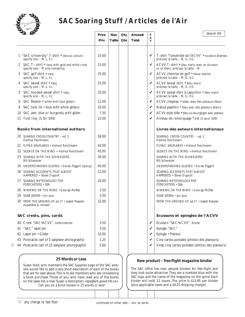

# **SAC Soaring Stuff / Articles de l'Air**

|    | 1 "SAC University" T-shirt . various colours<br>specify size - M, L, XL<br>2 SAC T- shirt • navy with gold and white crest | 15.00 |  |                            |                                                                                       |  |
|----|----------------------------------------------------------------------------------------------------------------------------|-------|--|----------------------------|---------------------------------------------------------------------------------------|--|
|    |                                                                                                                            |       |  |                            |                                                                                       |  |
|    |                                                                                                                            |       |  | V                          | T-shirt "l'université de l'ACVV" • couleurs diverses<br>précisez la taille - M, G, XG |  |
|    | specify size - M only remaining                                                                                            | 15.00 |  | V                          | ACVV T-shirt • bleu marin avec un écusson<br>or et blanc, précisez la taille - M      |  |
|    | 3 SAC golf shirt • navy<br>specify size - M, L, XL                                                                         | 25.00 |  | V                          | ACVV chemise de golf · bleue marine<br>précisez la taille - M, G, XG                  |  |
|    | 4 SAC sweat shirt • navy<br>specify size - M, L, XL                                                                        | 25.00 |  | ✓                          | ACVV sweat shirt • bleu marin<br>précisez la taille - M, G, XG                        |  |
|    | 5 SAC hooded sweat shirt • navy<br>specify size - M, L, XL                                                                 | 35.00 |  | ✓                          | ACVV sweat shirt à capuchon • bleu marin<br>précisez la taille - M, G, XG             |  |
|    | 6 SAC Beanie • white with blue gliders                                                                                     | 12.00 |  | $\boldsymbol{\mathcal{U}}$ | ACVV chapeau . blanc avec des planeurs bleus                                          |  |
| 8  | SAC bow tie . blue with white gliders                                                                                      | 20.00 |  | V                          | Nœud papillon · bleu avec des planeurs blancs                                         |  |
|    | 10 SAC pen, blue or burgundy with glider                                                                                   | 7.50  |  | V                          | ACVV style bille · bleu ou bourgogne avec planeur                                     |  |
|    | 11 Tost ring (5 for \$99)                                                                                                  | 22.00 |  | V                          | Anneau de remorquage Tost (5 pour \$99)                                               |  |
|    | <b>Books from international authors</b>                                                                                    |       |  |                            | Livres des auteurs internationaux                                                     |  |
|    | 20 SOARING CROSS-COUNTRY - ed. 2<br>Helmut Reichmann                                                                       | 58.00 |  |                            | SOARING CROSS-COUNTRY - ed. 2<br>Helmut Reichmann                                     |  |
|    | 21 FLYING SAILPLANES • Helmut Reichmann                                                                                    | 42.00 |  |                            | FLYING SAILPLANES • Helmut Reichmann                                                  |  |
|    | 22 SILENCE ON THE WIND . Helmut Reichmann                                                                                  | 45.00 |  |                            | SILENCE ON THE WIND . Helmut Reichmann                                                |  |
|    | 23 SOARING WITH THE SCHWEIZERS<br><b>Bill Schweizer</b>                                                                    | 30.00 |  |                            | SOARING WITH THE SCHWEIZERS<br><b>Bill Schweizer</b>                                  |  |
|    | 24 UNDERSTANDING GLIDING · Derek Piggott (autog.)                                                                          | 40.00 |  |                            | UNDERSTANDING GLIDING · Derek Piggott                                                 |  |
|    | 26 SOARING ACCIDENTS THAT ALMOST<br>HAPPENED . Steve Dupont                                                                | 12.00 |  |                            | SOARING ACCIDENTS THAT ALMOST<br>HAPPENED • Steve Dupont                              |  |
|    | 27 SOARING METEOROLOGY FOR<br><b>FORECASTERS • SSA</b>                                                                     | 16.00 |  |                            | SOARING METEOROLOGY FOR<br><b>FORECASTERS · SSA</b>                                   |  |
|    | 28 WINNING ON THE WIND . George Moffat                                                                                     | 3.50  |  |                            | WINNING ON THE WIND . George Moffat                                                   |  |
|    | 29 SOAR SIERRA • Jon Joss                                                                                                  | 3.50  |  |                            | SOAR SIERRA · Jon Joss                                                                |  |
|    | 30 FROM THE GROUND UP, ed 27 · Isabel Peppler<br>expanded & revised                                                        | 32.00 |  |                            | FROM THE GROUND UP, ed 27 · Isabel Peppler                                            |  |
|    | SAC crests, pins, cards                                                                                                    |       |  |                            | Ecussons et epingles de l'ACVV                                                        |  |
|    | 40 Crest "SAC.ACVV", embroidered                                                                                           | 3.50  |  | V                          | Ecusson "SAC.ACVV", brodé                                                             |  |
| 41 | "SAC" lapel pin                                                                                                            | 3.50  |  | V                          | Epingle "SAC"                                                                         |  |
|    | 42 Lapel pin · Glider                                                                                                      | 10.00 |  | V                          | Epingle · Planeur                                                                     |  |
|    | 43 Postcards (set of 5 sailplane photographs)                                                                              | 1.25  |  | V                          | Cinq cartes postales (photos des planeurs)                                            |  |
|    | 44 Postcards (set of 25 sailplane photographs)                                                                             | 5.00  |  | V                          | Vingt cinq cartes postales (photos des planeurs)                                      |  |

# **New product –** *free flight* **magazine binder**

The SAC office has new sample binders for *free flight* and they look quite attractive. They are a marbled blue with the SAC logo and the name of the magazine on the spine. Each binder will hold 12 issues. The price is \$12.95 per binder (plus applicable taxes and a \$4.25 shipping charge).

Susan Snell, who maintains the SAC Supplies page of the SAC website, would like to add a *very* short description of each of the books that are for sale above. This is to aid members who are considering a book purchase. Those of you who have read any of the books on the sales list, e-mail Susan a description *<sps@lark.gawd.mb.ca>*. Can *you* do a book review in 25 words or less!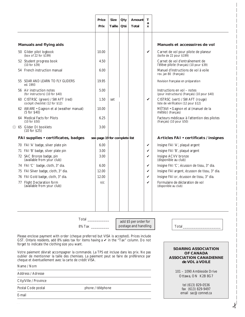|                                                                                                                                                                                                                                          | Price<br>Prix                 | <b>Size</b><br>Taille | Qty<br>Qté           | Amount<br>Total       | T<br>a<br>X  |                                                                              |
|------------------------------------------------------------------------------------------------------------------------------------------------------------------------------------------------------------------------------------------|-------------------------------|-----------------------|----------------------|-----------------------|--------------|------------------------------------------------------------------------------|
| <b>Manuals and flying aids</b>                                                                                                                                                                                                           |                               |                       |                      |                       |              | Manuels et accessoires de vol                                                |
| 50 Glider pilot logbook<br>(box of $22$ for $$199$ )                                                                                                                                                                                     | 10.00                         |                       |                      |                       | $\checkmark$ | Carnet de vol pour pilote de planeur<br>(boîte de 22 pour \$199)             |
| 52 Student progress book<br>(10 for \$39)                                                                                                                                                                                                | 4.50                          |                       |                      |                       |              | Carnet de vol d'entraînement de<br>l'élève pilote (français) (10 pour \$39)  |
| 54 French instruction manual                                                                                                                                                                                                             | 6.00                          |                       |                      |                       |              | Manuel d'instructions de vol à voile<br>rev. jan 80 (français)               |
| 55 SOAR AND LEARN TO FLY GLIDERS<br>ed. 1993                                                                                                                                                                                             | 19.95                         |                       |                      |                       |              | Revision française en préparation                                            |
| 56 Air instruction notes<br>(for instructors) (10 for \$40)                                                                                                                                                                              | 5.00                          |                       |                      |                       |              | Instructions en vol - notes<br>(pour instructeurs) (français) (10 pour \$40) |
| 60 CISTRSC (green) / SWAFT (red)<br>cockpit checklist (12 for \$12)                                                                                                                                                                      | 1.50                          | set                   |                      |                       | V            | CISTRSC (vert) / SWAFT (rouge)<br>liste de vérification (12 pour \$12)       |
| 62 AWARE • Gagnon et al (weather manual)<br>$(5$ for \$40)                                                                                                                                                                               | 10.00                         |                       |                      |                       |              | MÉTAVI · Gagnon et al (manuel de la<br>météo) (français)                     |
| 64 Medical Facts for Pilots<br>(10 for \$50)                                                                                                                                                                                             | 6.25                          |                       |                      |                       |              | Facteurs médicaux à l'attention des pilotes<br>(français) (10 pour \$50)     |
| ※ 65 Glider DI booklets<br>(10 for \$25)                                                                                                                                                                                                 | 3.00                          |                       |                      |                       |              |                                                                              |
| FAI supplies • certificates, badges                                                                                                                                                                                                      | see page 19 for complete list |                       |                      |                       |              | Articles FAI • certificats / insignes                                        |
| 70 FAI 'A' badge, silver plate pin                                                                                                                                                                                                       | 6.00                          |                       |                      |                       | V            | Insigne FAI 'A', plaqué argent                                               |
| 71 FAI 'B' badge, silver plate pin                                                                                                                                                                                                       | 3.00                          |                       |                      |                       | ✓            | Insigne FAI 'B', plaqué argent                                               |
| 72 SAC Bronze badge, pin<br>(available from your club)                                                                                                                                                                                   | 3.00                          |                       |                      |                       | V            | Insigne ACVV bronze<br>(disponible au club)                                  |
| 74 FAI 'C' badge, cloth, 3" dia.                                                                                                                                                                                                         | 6.00                          |                       |                      |                       | $\checkmark$ | Insigne FAI 'C', écusson de tissu, 3" dia.                                   |
| 75 FAI Silver badge, cloth, 3" dia.                                                                                                                                                                                                      | 12.00                         |                       |                      |                       | V            | Insigne FAI argent, écusson de tissu, 3" dia.                                |
| 76 FAI Gold badge, cloth, 3" dia.                                                                                                                                                                                                        | 12.00                         |                       |                      |                       | ✓            | Insigne FAI or, écusson de tissu, 3" dia.                                    |
| 77 Flight Declaration form<br>(available from your club)                                                                                                                                                                                 | n/c                           |                       |                      |                       | ✓            | Formulaire de déclaration de vol<br>(disponible au club)                     |
|                                                                                                                                                                                                                                          |                               |                       |                      |                       |              |                                                                              |
|                                                                                                                                                                                                                                          |                               |                       |                      | add \$5 per order for |              |                                                                              |
|                                                                                                                                                                                                                                          |                               |                       | postage and handling |                       |              | Total_                                                                       |
| Please enclose payment with order (cheque preferred but VISA is accepted). Prices include<br>GST. Ontario residents, add 8% sales tax for items having a v in the "Tax" column. Do not<br>forget to indicate the clothing size you want. |                               |                       |                      |                       |              |                                                                              |

cheque et éventuellement avec la carte de crédit VISA. Name / Nom

Address / Adresse

City/Ville / Province

E-mail

Postal Code postal phone / téléphone

**OF CANADA ASSOCIATION CANADIENNE de VOL à VOILE**

> 101 – 1090 Ambleside Drive Ottawa, ON K2B 8G7

> > tel (613) 829-0536 fax (613) 829-9497 email *sac@comnet.ca*

✁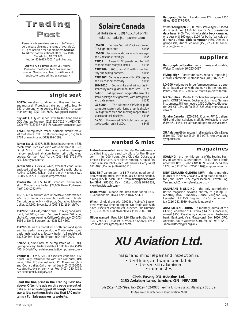



Personal ads are a free service to SAC members (please give me the name of your club). \$10 per insertion for nonmembers. **Send ad to editor**, not the national office, Box 1916, Claresholm, AB T0L 0T0 tel/fax (403) 625-4563, *free-flt@agt.net*

**Ad will run 3 times** unless you renew. Please tell me if your item has been sold sooner. Maximum ad length is 6 lines and subject to some editing as necessary.

# **single seat**

**BG12A**, excellent condition and flies well. Retiring and must sell. Fibreglass trailer, port. radio, Security 150 chute and wing covers. 34:1. \$3500 - cheaper than renting! (250) 344-6685, *<wag@rockies.net>*

**Skylark 4**, fully equipped with trailer, hangared at GGC. Andrew Robinson (613) 226-7616 (H), (613) 713- 2299 (W), (613) 237-4152 (F), *<andrewro@netcom.ca>*

**Ka6CR,** fibreglassed trailer, portable aircraft radio, 28 foot chute. Call Eric Durance days at (519) 973- 2728 or evenings at (519) 969-7889.

**Jantar Std 2**, #1207, 383h, basic instruments + PZL mech. vario, Rico elec vario with electronic TE, T&B, Dittel 720 ch. radio. Annualled and no damage history, enclosed all-alum trailer, tail dolly, wing covers. Contact: Paul Yardy, (905) 863-5728 (W) *<Paul.Yardy@nt.com>*

**Jantar Std 2**, C-GGEA, 747h, excellent cond, alum enclosed trailer. Rico, g-meter, EdoAire radio, chute. Asking \$26,500. Réjean Dallaire (514) 449-6333 (W), (514) 635-3470 (H) *<rejean@cegerco.com>*

**Pilatus B4**, C-FHES, 1400h, standard instruments, alum Minden-type trailer. \$22,000. Heinz Portmann (403) 720-0262 (W).

**RS-15**, a fun aircraft with impressive performance, 2-5 hrs common. Nice condition with Imron finish. Cambridge vario, Mk 4 director, O2, radio, Schreder trailer. \$14,500. Bryce Stout (905) 822-1814 ph/fx.

**PIK20Bc**, C–GXWD, carbon fibre, 820h, vg cond, new paint, Ball 400 c/w netto & cruise, Edoaire 720 radio, chute, O2, gear warning. Call Lee Coates at (403) 242- 3056 or Denis Bergeron at (403) 526-4560.

**PIK20D**, this is the model with both flaps and spoilers, high performance yet docile. Chute, water, good basic instr package, factory trailer. US registered. \$32,500 firm. Brian Hollington (604) 467-0020.

**SZD-55-1**, brand new, to be registered as C-GENQ. Spring delivery. Trailer available. Ed Hollestelle, (519) 461-1464 ph/fx, *<solairecanada@compuserve.com>*

**Ventus B**, C-GVRS "26", in excellent condition, 812 hours. Fully instrumented with Ilec computer, Ball vario, Dittel 720 channel radio, O2, Masak winglets and Cobra trailer. Call or e-mail Lee (403) 242-3056, *<coatesl@cadvision.com>* or Rod (403) 240-4374, *<crutcher@med.ucalgary.ca>*

**Read the fine print in the Trading Post box above. Often the ads on this page are out of date or an ad is dropped although the owner wants it to continue. Note also that SAC maintains a For Sale page on its website.**

*Solaire Canada*

Ed Hollestelle (519) 461-1464 ph/fx *solairecanada@compuserve.com*

**LX-20B** The new "no frills" IGC–approved GPS flight recorder \$1495 **LX-100** Electronic audio vario with averager<br>and 2 response settings \$495 and 2 response settings **ATR57** A new 2-1/4" panel-mounted 760 channel radio ready to install. *\$1395* **ATR720A** 760 chan VHF with mounting tray and wiring harness. *\$1695* **ATR720C** Same as above with LCD display<br>and 10 channel memory \$1895 and 10 channel memory. **SHM1010** Boom mike and wiring (as installed by most glider manufacturers. *\$175* **Colibri** FAI approved logger (the size of a small package of cigarettes) with navigation and data screen. *\$1395* **LX-5000** The ultimate GPS/final glide computer system with large graphic display, FAI flight recorder, and moving map with airspace and task displays. *\$5995* **DX 50** The newest GPS flight data computer/recorder, only 2 LCDs. \$3495 ter/recorder, only 2 LCDs.

# **wanted & misc**

**Instructors wanted** Aéro Club des Outardes needs qualified instructors and towpilots for the 99 season – min. 200 hours. *Aéro Club des Outardes à besoin d'instructeurs et pilotes remorqueur qualifiés pour la saison 1999 – min. 200 heures.* Gerry (450) 621-4891; Daniel (450) 628-5116.

**ILEC SB-7** variometer, 2 **SB-7** varios, good condition, working order, with manuals, no flask needed, asking \$US500 each. One 57mm **averager readout for SB-7**, \$US150. Kevin Clifton, (306) 978-1832, *<kev@envistatech.com>*

**Radio trade** – a panel mounted radio for an ICOM IC-A2 handheld. Mike Cook (250) 427-5471

**Winch**, single drum with 3500 ft of cable, V-8 powered, very low time on engine. On single axle with hitch. Excellent economical launches. Eric Durance (519) 969-7889, Kurt Moser (eves) (519) 250-6748.

**Glider wanted** Used LS4, LS6, Discus-b, Glasflügel 304, Ventus-C, ASW19, ASW20, or ASW24. Ernst Schneider *<ews@compuma.com>*

**Barograph**, Winter, ink and smoke, 12 km scale, \$250 Gilles (450) 377-5737.

Winter **barograph**, 20,000 feet - smoke type - 3 speed drum revolution: \$300 obo. Garmin 55 gps **aviation data base** \$400. Two Minolta **data back cameras**, one year old! \$60 each, \$100 for both. Varicalc audio **vario / final glide computer** \$450. (Almost a garage sale). André Pepin tel: (450) 923-3631, e-mail: *arcapep@cam.org*

# **suppliers**

**Barograph calibration,** most makes and models, Walter Chmela (416) 223-6487

**Flying High** Parachute sales, repairs, repacking, custom containers. Al MacDonald (403) 687-2225.

**LD-200**, variometre, hi-performance pressure transducer based varios with audio. No bottle required. Peter Masak (610) 738-9792, *masak@ix.netcom.com*

**MZ Supplies** Dealer for Schleicher sailplanes and parts, CONFOR foam, Becker radios, most German instruments. Ulli Werneburg,1450 Goth Ave, Gloucester, ON K1T 1E4 , ph/fax (613) 523-2581 *mgmzaqua@ cmw.ca*

**Solaire Canada** SZD-55-1, Krosno, PW-5, trailers, GPS and other sailplane stuff. Ed Hollestelle, ph/fax (519) 461-1464, *<solairecanada@compuserve.com>*

**XU Aviation** Glider repairs in all materials. Chris Eaves (519) 452-7999, fax (519) 452-0075, *<xu-aviation@ sympatico.ca>*

# **magazines**

**SOARING** — the monthly journal of the Soaring Soci-ety of America. Subscriptions US\$43. Credit cards accepted. Box E, Hobbs, NM 88241-7504. (505) 392- 1177, fax 392-8154. *<74521.116@compuserve.com>*

**NEW ZEALAND GLIDING KIWI** — the bimonthly journal of the New Zealand Gliding Association. Editor, John Roake. US\$32/year (seamail). Private Bag, Tauranga, NZ. *<john@roake.gen.nz>*

**SAILPLANE & GLIDING** - the only authoritative British magazine devoted entirely to gliding. Bimonthly. BGA, Kimberley House, Vaughan Way, Leicester, LE1 4SG, England. £17.50 per annum. fax 0116 251-5939 *<bga@gliding.co.uk>*

**AUSTRALIAN GLIDING** — bimonthly journal of the Gliding Federation of Australia. \$A40.50 surface mail, airmail \$A55. Payable by cheque on an Australian bank, Bankcard, Visa, Mastercard. Box 1650, GPO, Adelaide, South Australia 5001. fax (03) 9379-5519. *<AdminOfficer@gfa.org.au>*

**XU Aviation Ltd.**

major and minor repair and inspection in:

• steel tube, and wood and fabric • stressed skin aluminum • composites

**Chris Eaves, XU Aviation Ltd. 2450 Aviation Lane, London, ON N5V 3Z9**

ph (519) 452-7999, fax (519) 452-0075 e-mail: xu-aviation@sympatico.ca TC Approved Maintenance Organization 24-88